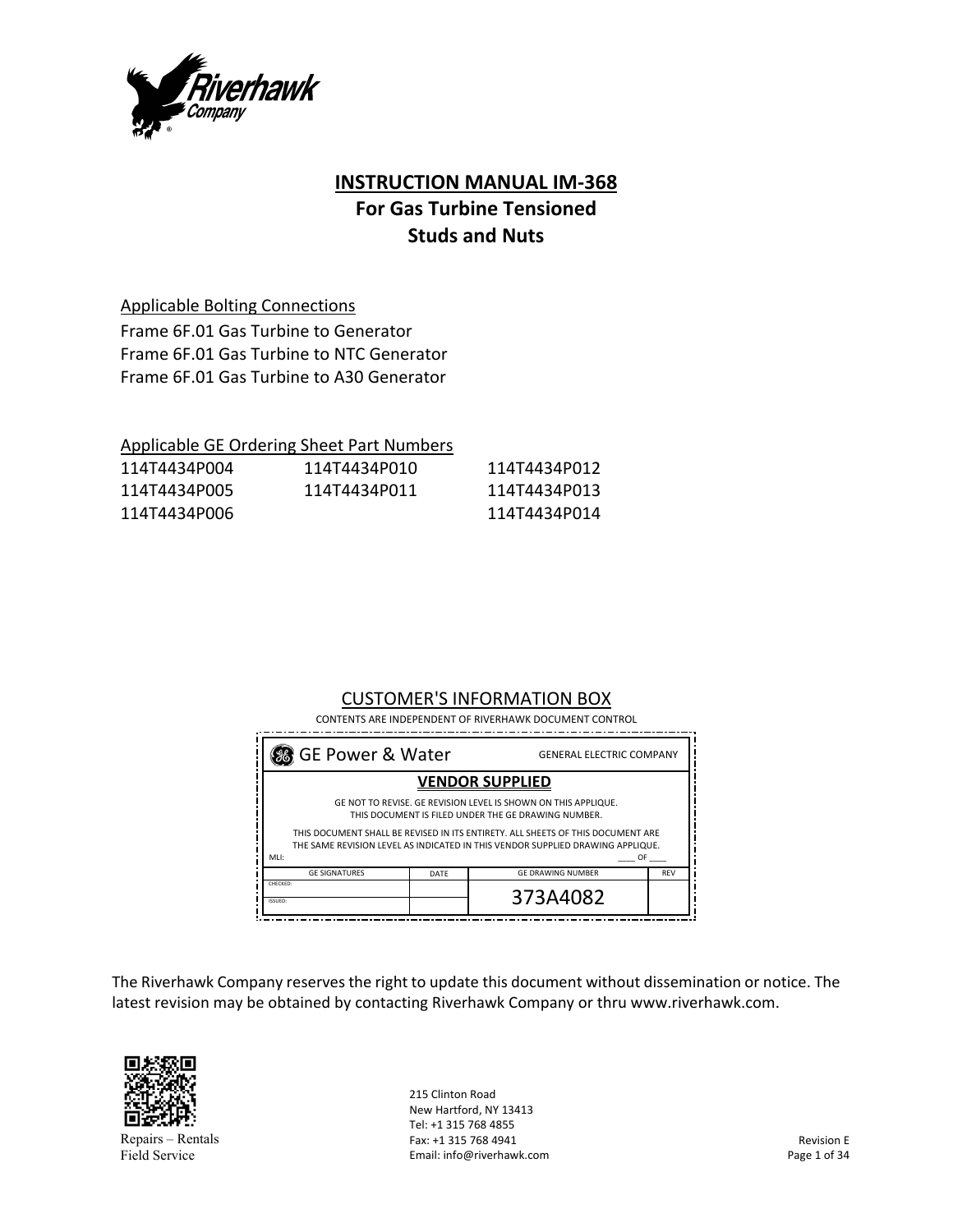

# **INSTRUCTION MANUAL IM‐368 For Gas Turbine Tensioned Studs and Nuts**

Applicable Bolting Connections

Frame 6F.01 Gas Turbine to Generator Frame 6F.01 Gas Turbine to NTC Generator Frame 6F.01 Gas Turbine to A30 Generator

|              | Applicable GE Ordering Sheet Part Numbers |              |
|--------------|-------------------------------------------|--------------|
| 114T4434P004 | 114T4434P010                              | 114T4434P012 |
| 114T4434P005 | 114T4434P011                              | 114T4434P013 |
| 114T4434P006 |                                           | 114T4434P014 |

# CUSTOMER'S INFORMATION BOX

CONTENTS ARE INDEPENDENT OF RIVERHAWK DOCUMENT CONTROL

| GE Power & Water                                                                                                                                                                                                                                                                                                |      | <b>GENERAL ELECTRIC COMPANY</b> |            |
|-----------------------------------------------------------------------------------------------------------------------------------------------------------------------------------------------------------------------------------------------------------------------------------------------------------------|------|---------------------------------|------------|
| <b>VENDOR SUPPLIED</b>                                                                                                                                                                                                                                                                                          |      |                                 |            |
| GE NOT TO REVISE. GE REVISION LEVEL IS SHOWN ON THIS APPLIQUE.<br>THIS DOCUMENT IS FILED UNDER THE GE DRAWING NUMBER.<br>THIS DOCUMENT SHALL BE REVISED IN ITS ENTIRETY. ALL SHEETS OF THIS DOCUMENT ARE<br>THE SAME REVISION LEVEL AS INDICATED IN THIS VENDOR SUPPLIED DRAWING APPLIQUE.<br>MLI:<br><b>OF</b> |      |                                 |            |
| <b>GE SIGNATURES</b>                                                                                                                                                                                                                                                                                            | DATE | <b>GE DRAWING NUMBER</b>        | <b>REV</b> |
| CHECKED:<br><b>ISSUED:</b>                                                                                                                                                                                                                                                                                      |      | 373A4082                        |            |

The Riverhawk Company reserves the right to update this document without dissemination or notice. The latest revision may be obtained by contacting Riverhawk Company or thru www.riverhawk.com.



Repairs – Rentals Field Service

215 Clinton Road New Hartford, NY 13413 Tel: +1 315 768 4855 Fax: +1 315 768 4941 Email: info@riverhawk.com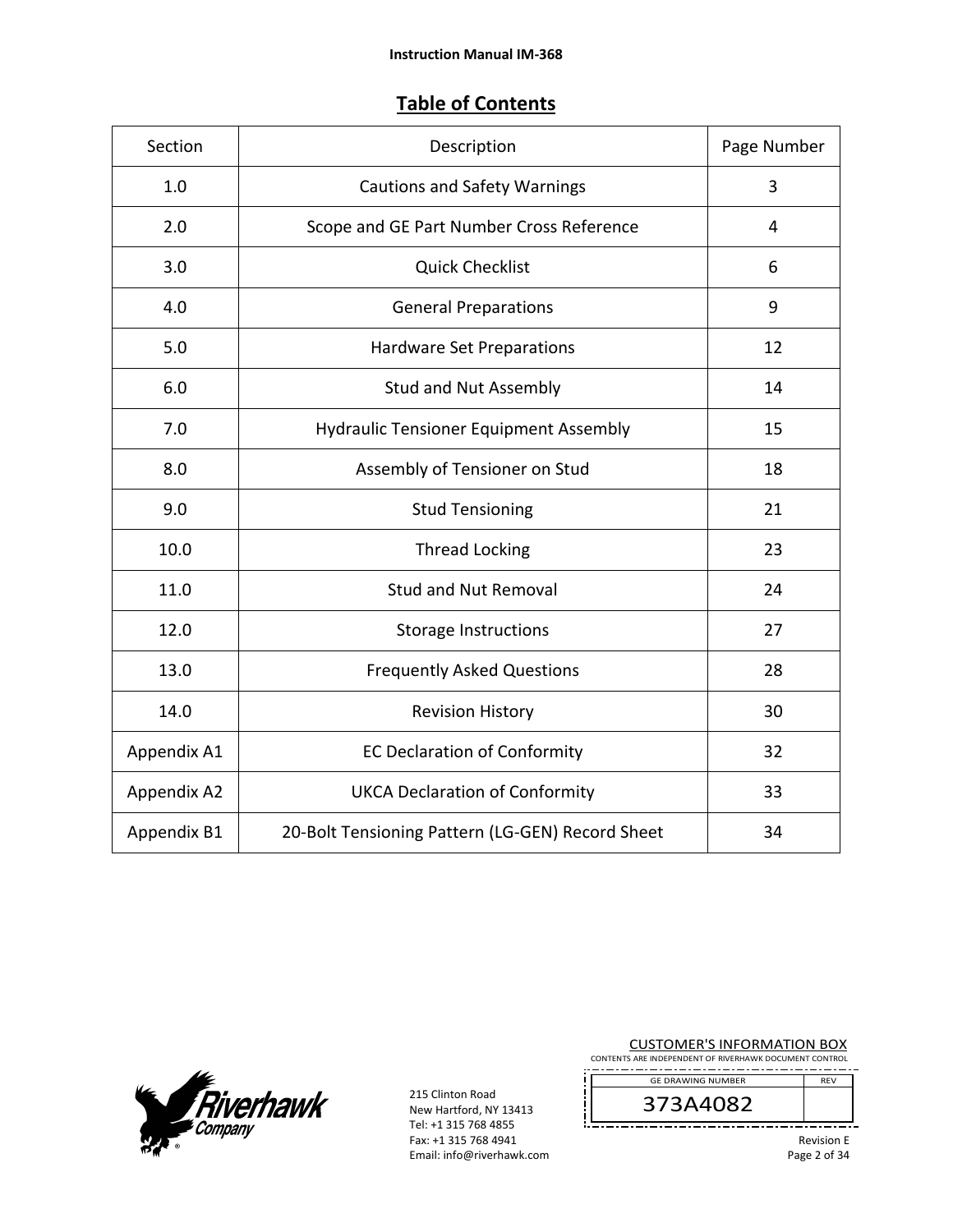# **Table of Contents**

| Section     | Description                                      | Page Number      |
|-------------|--------------------------------------------------|------------------|
| 1.0         | <b>Cautions and Safety Warnings</b>              | 3                |
| 2.0         | Scope and GE Part Number Cross Reference         | $\overline{4}$   |
| 3.0         | <b>Quick Checklist</b>                           | 6                |
| 4.0         | <b>General Preparations</b>                      | $\boldsymbol{9}$ |
| 5.0         | Hardware Set Preparations                        | 12               |
| 6.0         | <b>Stud and Nut Assembly</b>                     | 14               |
| 7.0         | <b>Hydraulic Tensioner Equipment Assembly</b>    | 15               |
| 8.0         | Assembly of Tensioner on Stud                    | 18               |
| 9.0         | <b>Stud Tensioning</b>                           | 21               |
| 10.0        | <b>Thread Locking</b>                            | 23               |
| 11.0        | <b>Stud and Nut Removal</b>                      | 24               |
| 12.0        | <b>Storage Instructions</b>                      | 27               |
| 13.0        | <b>Frequently Asked Questions</b>                | 28               |
| 14.0        | <b>Revision History</b>                          | 30               |
| Appendix A1 | <b>EC Declaration of Conformity</b>              | 32               |
| Appendix A2 | <b>UKCA Declaration of Conformity</b>            | 33               |
| Appendix B1 | 20-Bolt Tensioning Pattern (LG-GEN) Record Sheet | 34               |



215 Clinton Road New Hartford, NY 13413 Tel: +1 315 768 4855 Fax: +1 315 768 4941 Email: info@riverhawk.com

| <b>CUSTOMER'S INFORMATION BOX</b>                      |  |  |
|--------------------------------------------------------|--|--|
| CONTENTS ARE INDEPENDENT OF RIVERHAWK DOCUMENT CONTROL |  |  |

REV GE DRAWING NUMBER

373A4082

Revision E Page 2 of 34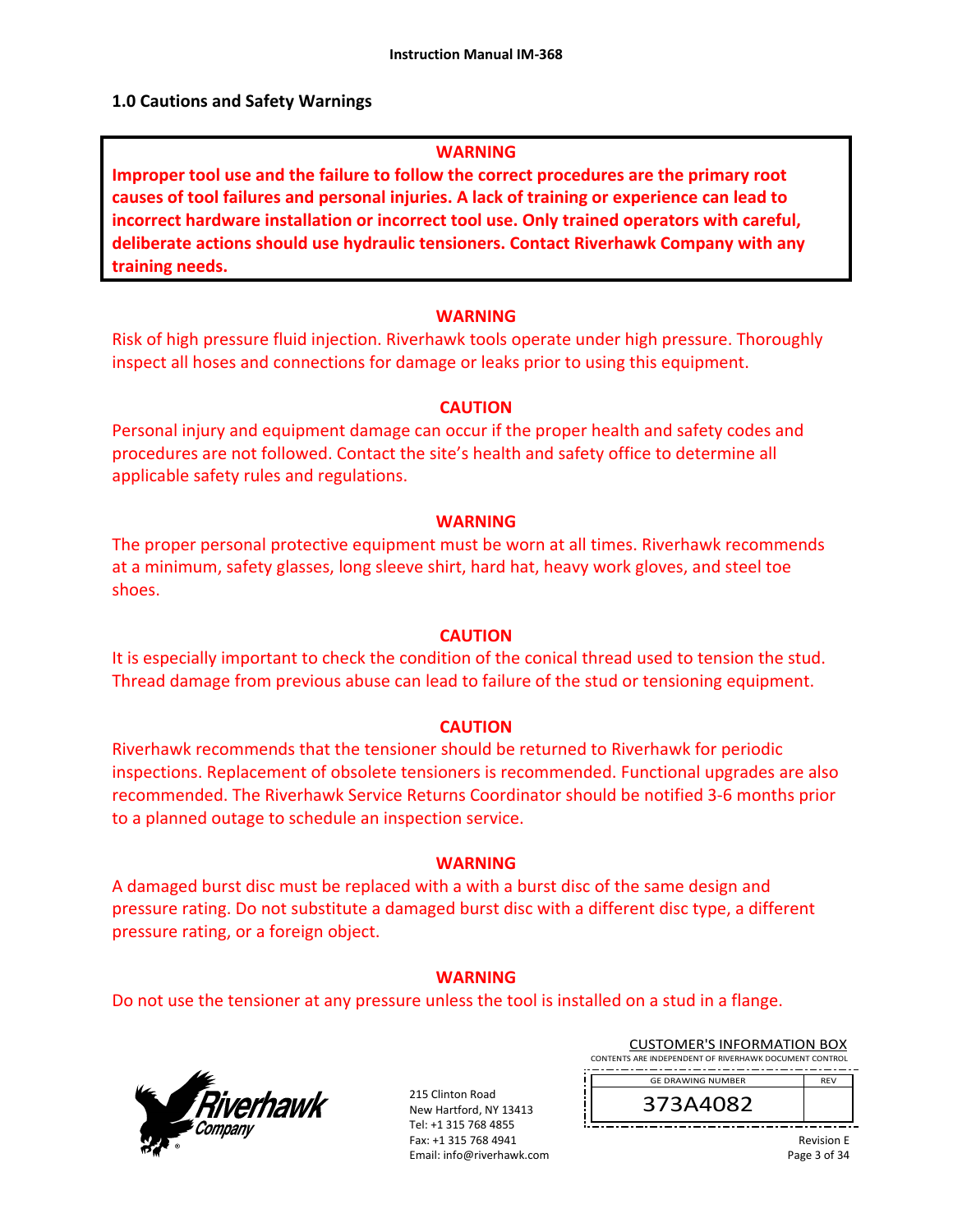#### **1.0 Cautions and Safety Warnings**

#### **WARNING**

**Improper tool use and the failure to follow the correct procedures are the primary root causes of tool failures and personal injuries. A lack of training or experience can lead to incorrect hardware installation or incorrect tool use. Only trained operators with careful, deliberate actions should use hydraulic tensioners. Contact Riverhawk Company with any training needs.** 

#### **WARNING**

Risk of high pressure fluid injection. Riverhawk tools operate under high pressure. Thoroughly inspect all hoses and connections for damage or leaks prior to using this equipment.

#### **CAUTION**

Personal injury and equipment damage can occur if the proper health and safety codes and procedures are not followed. Contact the site's health and safety office to determine all applicable safety rules and regulations.

#### **WARNING**

The proper personal protective equipment must be worn at all times. Riverhawk recommends at a minimum, safety glasses, long sleeve shirt, hard hat, heavy work gloves, and steel toe shoes.

#### **CAUTION**

It is especially important to check the condition of the conical thread used to tension the stud. Thread damage from previous abuse can lead to failure of the stud or tensioning equipment.

#### **CAUTION**

Riverhawk recommends that the tensioner should be returned to Riverhawk for periodic inspections. Replacement of obsolete tensioners is recommended. Functional upgrades are also recommended. The Riverhawk Service Returns Coordinator should be notified 3‐6 months prior to a planned outage to schedule an inspection service.

#### **WARNING**

A damaged burst disc must be replaced with a with a burst disc of the same design and pressure rating. Do not substitute a damaged burst disc with a different disc type, a different pressure rating, or a foreign object.

#### **WARNING**

Do not use the tensioner at any pressure unless the tool is installed on a stud in a flange.



215 Clinton Road New Hartford, NY 13413 Tel: +1 315 768 4855 Fax: +1 315 768 4941 Email: info@riverhawk.com

| <b>CUSTOMER'S INFORMATION BOX</b>                                          |                          |
|----------------------------------------------------------------------------|--------------------------|
| CONTENTS ARE INDEPENDENT OF RIVERHAWK DOCUMENT CONTROL                     |                          |
| ______<br>----<br>___________<br>-------<br>--<br><b>GE DRAWING NUMBER</b> | ____<br>--<br><b>RFV</b> |

373A4082

Revision E Page 3 of 34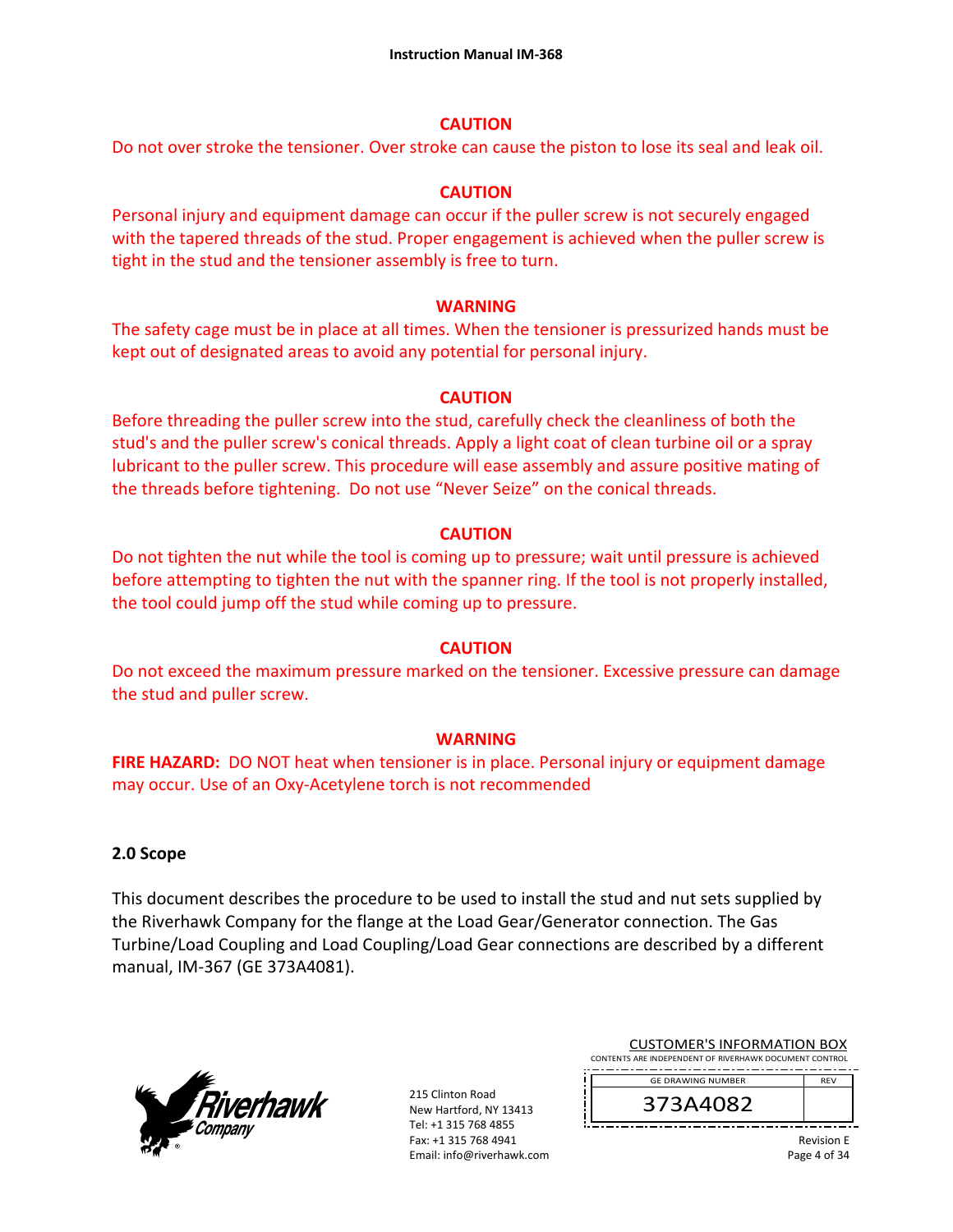#### **CAUTION**

Do not over stroke the tensioner. Over stroke can cause the piston to lose its seal and leak oil.

# **CAUTION**

Personal injury and equipment damage can occur if the puller screw is not securely engaged with the tapered threads of the stud. Proper engagement is achieved when the puller screw is tight in the stud and the tensioner assembly is free to turn.

#### **WARNING**

The safety cage must be in place at all times. When the tensioner is pressurized hands must be kept out of designated areas to avoid any potential for personal injury.

# **CAUTION**

Before threading the puller screw into the stud, carefully check the cleanliness of both the stud's and the puller screw's conical threads. Apply a light coat of clean turbine oil or a spray lubricant to the puller screw. This procedure will ease assembly and assure positive mating of the threads before tightening. Do not use "Never Seize" on the conical threads.

# **CAUTION**

Do not tighten the nut while the tool is coming up to pressure; wait until pressure is achieved before attempting to tighten the nut with the spanner ring. If the tool is not properly installed, the tool could jump off the stud while coming up to pressure.

# **CAUTION**

Do not exceed the maximum pressure marked on the tensioner. Excessive pressure can damage the stud and puller screw.

# **WARNING**

**FIRE HAZARD:** DO NOT heat when tensioner is in place. Personal injury or equipment damage may occur. Use of an Oxy‐Acetylene torch is not recommended

# **2.0 Scope**

This document describes the procedure to be used to install the stud and nut sets supplied by the Riverhawk Company for the flange at the Load Gear/Generator connection. The Gas Turbine/Load Coupling and Load Coupling/Load Gear connections are described by a different manual, IM‐367 (GE 373A4081).



215 Clinton Road New Hartford, NY 13413 Tel: +1 315 768 4855 Fax: +1 315 768 4941 Email: info@riverhawk.com

| <b>CUSTOMER'S INFORMATION BOX</b>                      |            |
|--------------------------------------------------------|------------|
| CONTENTS ARE INDEPENDENT OF RIVERHAWK DOCUMENT CONTROL |            |
| <b>GE DRAWING NUMBER</b>                               | <b>RFV</b> |

373A4082

Revision E Page 4 of 34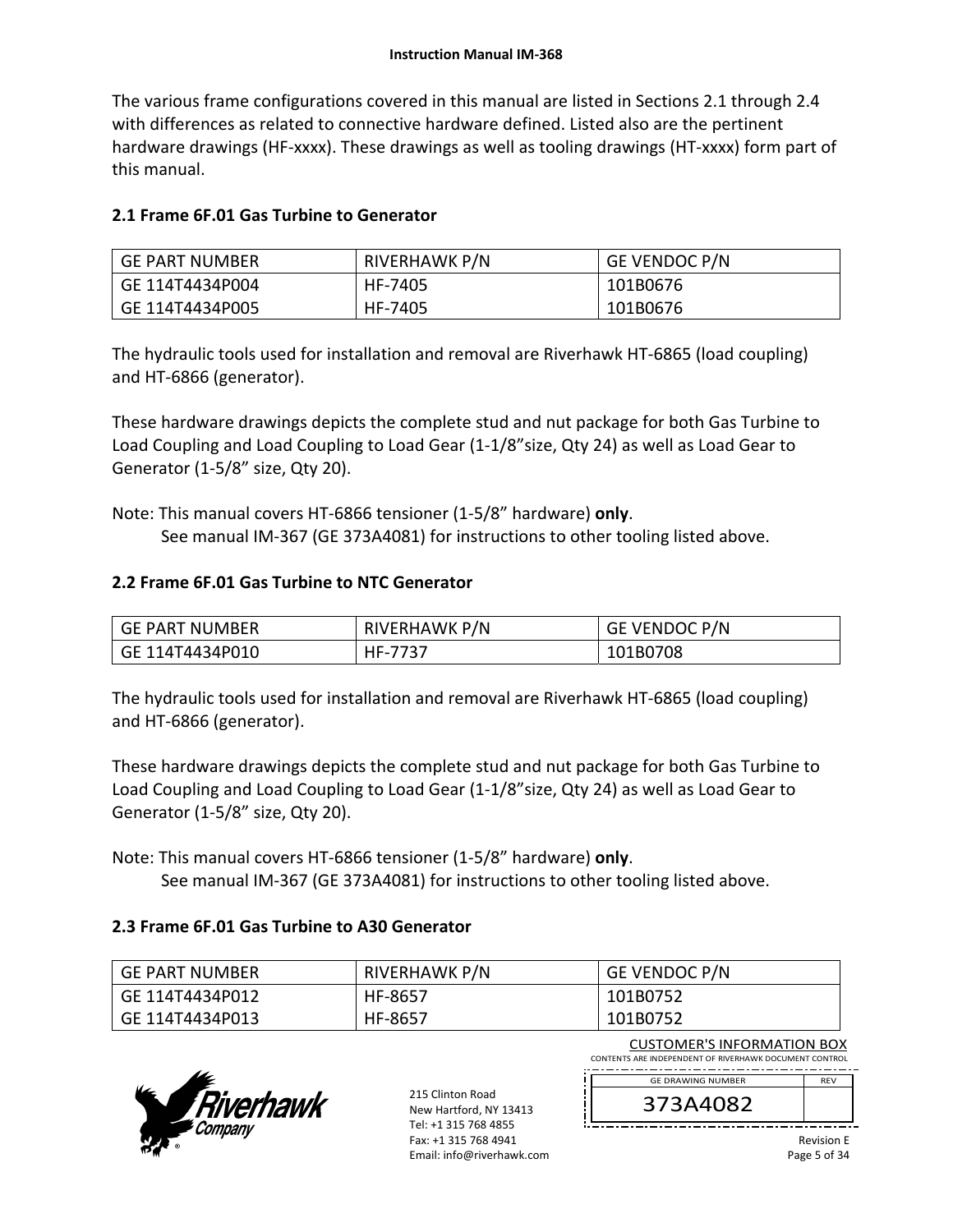The various frame configurations covered in this manual are listed in Sections 2.1 through 2.4 with differences as related to connective hardware defined. Listed also are the pertinent hardware drawings (HF-xxxx). These drawings as well as tooling drawings (HT-xxxx) form part of this manual.

# **2.1 Frame 6F.01 Gas Turbine to Generator**

| GE PART NUMBER  | RIVERHAWK P/N | GE VENDOC P/N |
|-----------------|---------------|---------------|
| GE 114T4434P004 | HF-7405       | 101B0676      |
| GE 114T4434P005 | HF-7405       | 101B0676      |

The hydraulic tools used for installation and removal are Riverhawk HT‐6865 (load coupling) and HT‐6866 (generator).

These hardware drawings depicts the complete stud and nut package for both Gas Turbine to Load Coupling and Load Coupling to Load Gear (1‐1/8"size, Qty 24) as well as Load Gear to Generator (1‐5/8" size, Qty 20).

Note: This manual covers HT‐6866 tensioner (1‐5/8" hardware) **only**. See manual IM‐367 (GE 373A4081) for instructions to other tooling listed above.

# **2.2 Frame 6F.01 Gas Turbine to NTC Generator**

| GE PART NUMBER  | RIVERHAWK P/N | GE VENDOC P/N |
|-----------------|---------------|---------------|
| GE 114T4434P010 | HF-7737       | 101B0708      |

The hydraulic tools used for installation and removal are Riverhawk HT‐6865 (load coupling) and HT‐6866 (generator).

These hardware drawings depicts the complete stud and nut package for both Gas Turbine to Load Coupling and Load Coupling to Load Gear (1‐1/8"size, Qty 24) as well as Load Gear to Generator (1‐5/8" size, Qty 20).

Note: This manual covers HT‐6866 tensioner (1‐5/8" hardware) **only**. See manual IM‐367 (GE 373A4081) for instructions to other tooling listed above.

# **2.3 Frame 6F.01 Gas Turbine to A30 Generator**

| GE PART NUMBER  | RIVERHAWK P/N | <b>GE VENDOC P/N</b> |
|-----------------|---------------|----------------------|
| GE 114T4434P012 | HF-8657       | 101B0752             |
| GE 114T4434P013 | HF-8657       | 101B0752             |



215 Clinton Road New Hartford, NY 13413 Tel: +1 315 768 4855 Fax: +1 315 768 4941 Email: info@riverhawk.com

| <b>CUSTOMER'S INFORMATION BOX</b>                      |            |
|--------------------------------------------------------|------------|
| CONTENTS ARE INDEPENDENT OF RIVERHAWK DOCUMENT CONTROL |            |
| <b>GF DRAWING NUMBER</b>                               | <b>RFV</b> |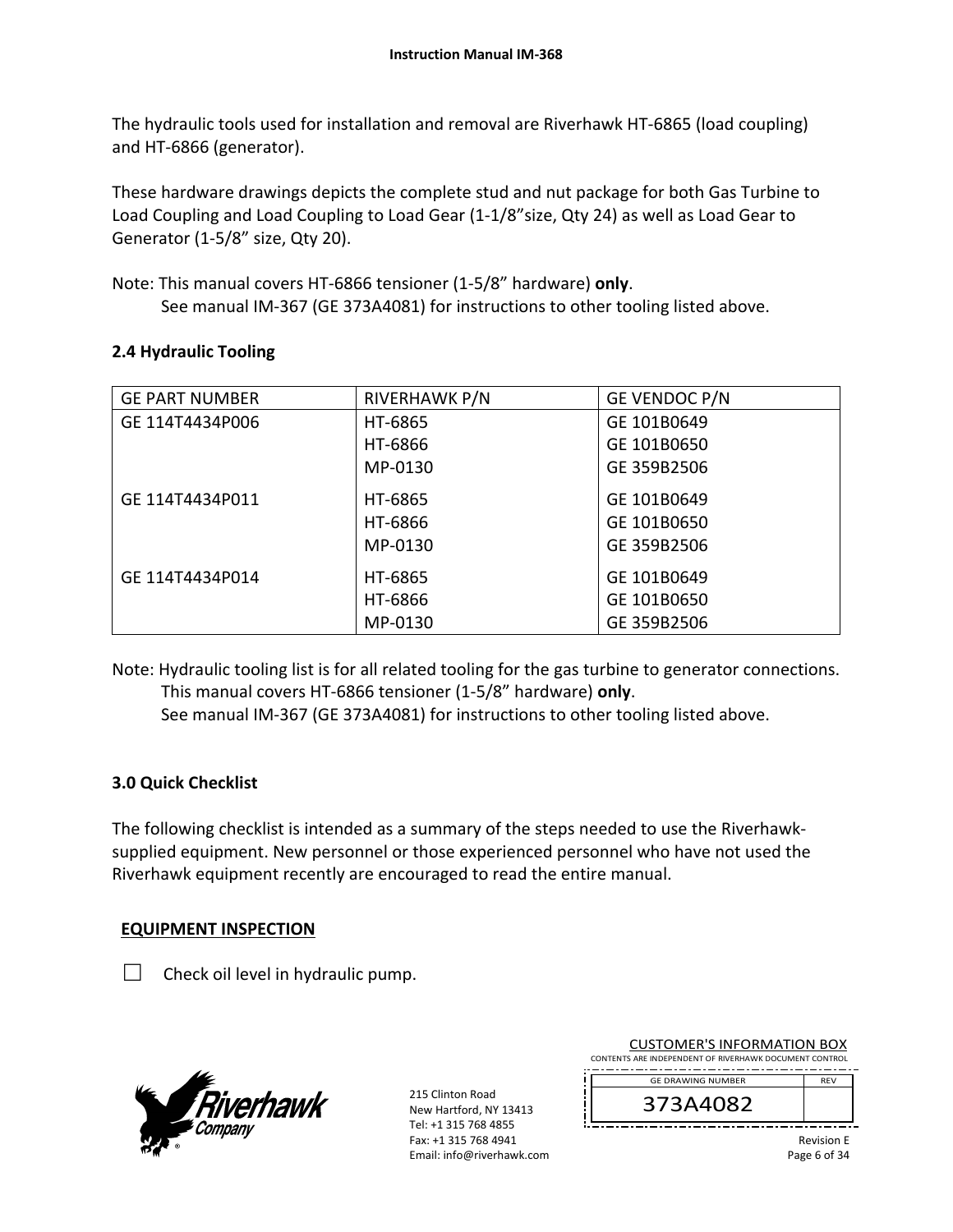The hydraulic tools used for installation and removal are Riverhawk HT‐6865 (load coupling) and HT‐6866 (generator).

These hardware drawings depicts the complete stud and nut package for both Gas Turbine to Load Coupling and Load Coupling to Load Gear (1‐1/8"size, Qty 24) as well as Load Gear to Generator (1‐5/8" size, Qty 20).

Note: This manual covers HT‐6866 tensioner (1‐5/8" hardware) **only**. See manual IM‐367 (GE 373A4081) for instructions to other tooling listed above.

# **2.4 Hydraulic Tooling**

| <b>GE PART NUMBER</b> | RIVERHAWK P/N | GE VENDOC P/N |
|-----------------------|---------------|---------------|
| GE 114T4434P006       | HT-6865       | GE 101B0649   |
|                       | HT-6866       | GE 101B0650   |
|                       | MP-0130       | GE 359B2506   |
| GE 114T4434P011       | HT-6865       | GE 101B0649   |
|                       | HT-6866       | GE 101B0650   |
|                       | MP-0130       | GE 359B2506   |
| GE 114T4434P014       | HT-6865       | GE 101B0649   |
|                       | HT-6866       | GE 101B0650   |
|                       | MP-0130       | GE 359B2506   |

Note: Hydraulic tooling list is for all related tooling for the gas turbine to generator connections. This manual covers HT‐6866 tensioner (1‐5/8" hardware) **only**.

See manual IM‐367 (GE 373A4081) for instructions to other tooling listed above.

# **3.0 Quick Checklist**

The following checklist is intended as a summary of the steps needed to use the Riverhawk‐ supplied equipment. New personnel or those experienced personnel who have not used the Riverhawk equipment recently are encouraged to read the entire manual.

# **EQUIPMENT INSPECTION**

Check oil level in hydraulic pump.



215 Clinton Road New Hartford, NY 13413 Tel: +1 315 768 4855 Fax: +1 315 768 4941 Email: info@riverhawk.com

| <b>CUSTOMER'S INFORMATION BOX</b>                      |            |  |
|--------------------------------------------------------|------------|--|
| CONTENTS ARE INDEPENDENT OF RIVERHAWK DOCUMENT CONTROL |            |  |
| <b>GE DRAWING NUMBER</b>                               | <b>RFV</b> |  |
|                                                        |            |  |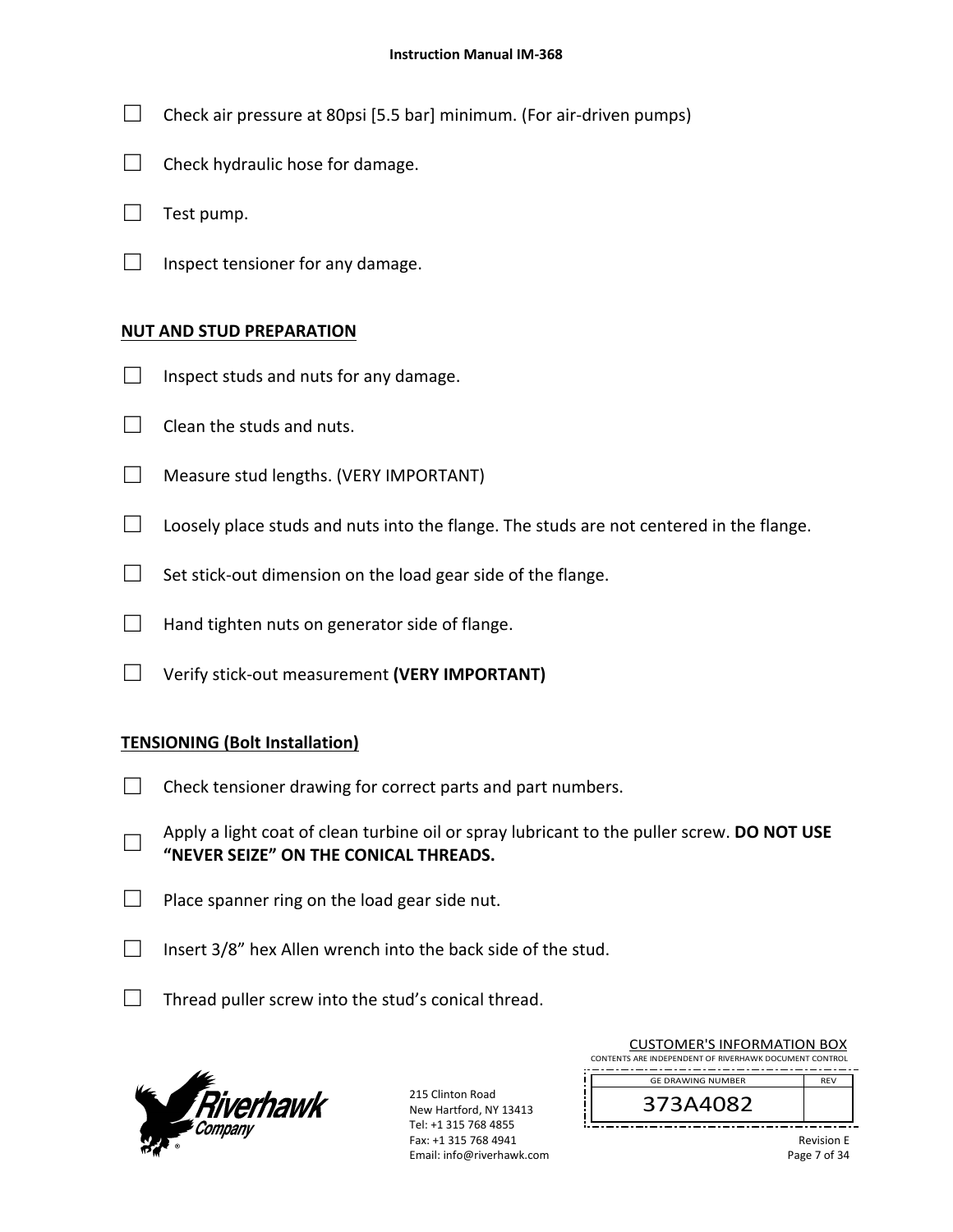- $\Box$  Check air pressure at 80psi [5.5 bar] minimum. (For air-driven pumps)
- $\Box$  Check hydraulic hose for damage.
- $\Box$  Test pump.
- $\Box$  Inspect tensioner for any damage.

#### **NUT AND STUD PREPARATION**

- $\Box$  Inspect studs and nuts for any damage.
- $\Box$  Clean the studs and nuts.
- □ Measure stud lengths. (VERY IMPORTANT)
- $\Box$  Loosely place studs and nuts into the flange. The studs are not centered in the flange.
- $\Box$  Set stick-out dimension on the load gear side of the flange.
- $\Box$  Hand tighten nuts on generator side of flange.
- □ Verify stick‐out measurement **(VERY IMPORTANT)**

#### **TENSIONING (Bolt Installation)**

- $\Box$  Check tensioner drawing for correct parts and part numbers.
- □ Apply a light coat of clean turbine oil or spray lubricant to the puller screw. **DO NOT USE "NEVER SEIZE" ON THE CONICAL THREADS.**
- $\Box$  Place spanner ring on the load gear side nut.
- $\Box$  Insert 3/8" hex Allen wrench into the back side of the stud.
- $\Box$  Thread puller screw into the stud's conical thread.



215 Clinton Road New Hartford, NY 13413 Tel: +1 315 768 4855 Fax: +1 315 768 4941 Email: info@riverhawk.com

|                                                        | - - -      |  |
|--------------------------------------------------------|------------|--|
| 373A4082                                               |            |  |
| <b>GE DRAWING NUMBER</b>                               | <b>RFV</b> |  |
| CONTENTS ARE INDEPENDENT OF RIVERHAWK DOCUMENT CONTROL |            |  |
| COSTOIVIER 3 INFORMATION BOA                           |            |  |

CUSTOMER'S INFORMATION BOY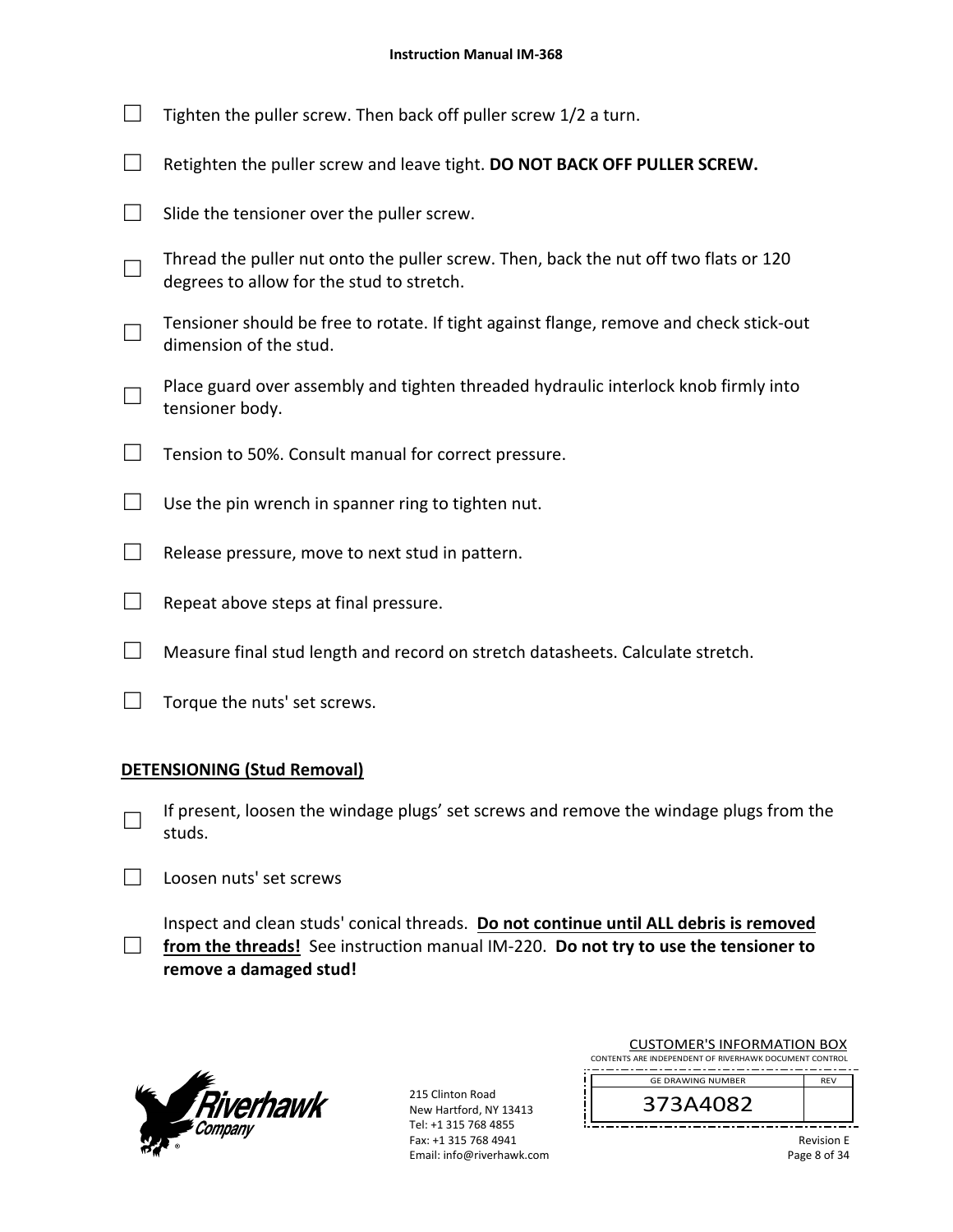| Tighten the puller screw. Then back off puller screw 1/2 a turn.                                                                  |
|-----------------------------------------------------------------------------------------------------------------------------------|
| Retighten the puller screw and leave tight. DO NOT BACK OFF PULLER SCREW.                                                         |
| Slide the tensioner over the puller screw.                                                                                        |
| Thread the puller nut onto the puller screw. Then, back the nut off two flats or 120<br>degrees to allow for the stud to stretch. |
| Tensioner should be free to rotate. If tight against flange, remove and check stick-out<br>dimension of the stud.                 |
| Place guard over assembly and tighten threaded hydraulic interlock knob firmly into<br>tensioner body.                            |
| Tension to 50%. Consult manual for correct pressure.                                                                              |
| Use the pin wrench in spanner ring to tighten nut.                                                                                |
| Release pressure, move to next stud in pattern.                                                                                   |
| Repeat above steps at final pressure.                                                                                             |
| Measure final stud length and record on stretch datasheets. Calculate stretch.                                                    |

 $\Box$  Torque the nuts' set screws.

# **DETENSIONING (Stud Removal)**

- □ If present, loosen the windage plugs' set screws and remove the windage plugs from the studs.
- □ Loosen nuts' set screws

□ from the threads! See instruction manual IM-220. **Do not try to use the tensioner to** Inspect and clean studs' conical threads. **Do not continue until ALL debris is removed remove a damaged stud!** 



215 Clinton Road New Hartford, NY 13413 Tel: +1 315 768 4855 Fax: +1 315 768 4941 Email: info@riverhawk.com

| <b>CUSTOMER'S INFORMATION BOX</b>                      |  |  |
|--------------------------------------------------------|--|--|
| CONTENTS ARE INDEPENDENT OF RIVERHAWK DOCUMENT CONTROL |  |  |
| <b>GE DRAWING NUMBER</b><br><b>RFV</b>                 |  |  |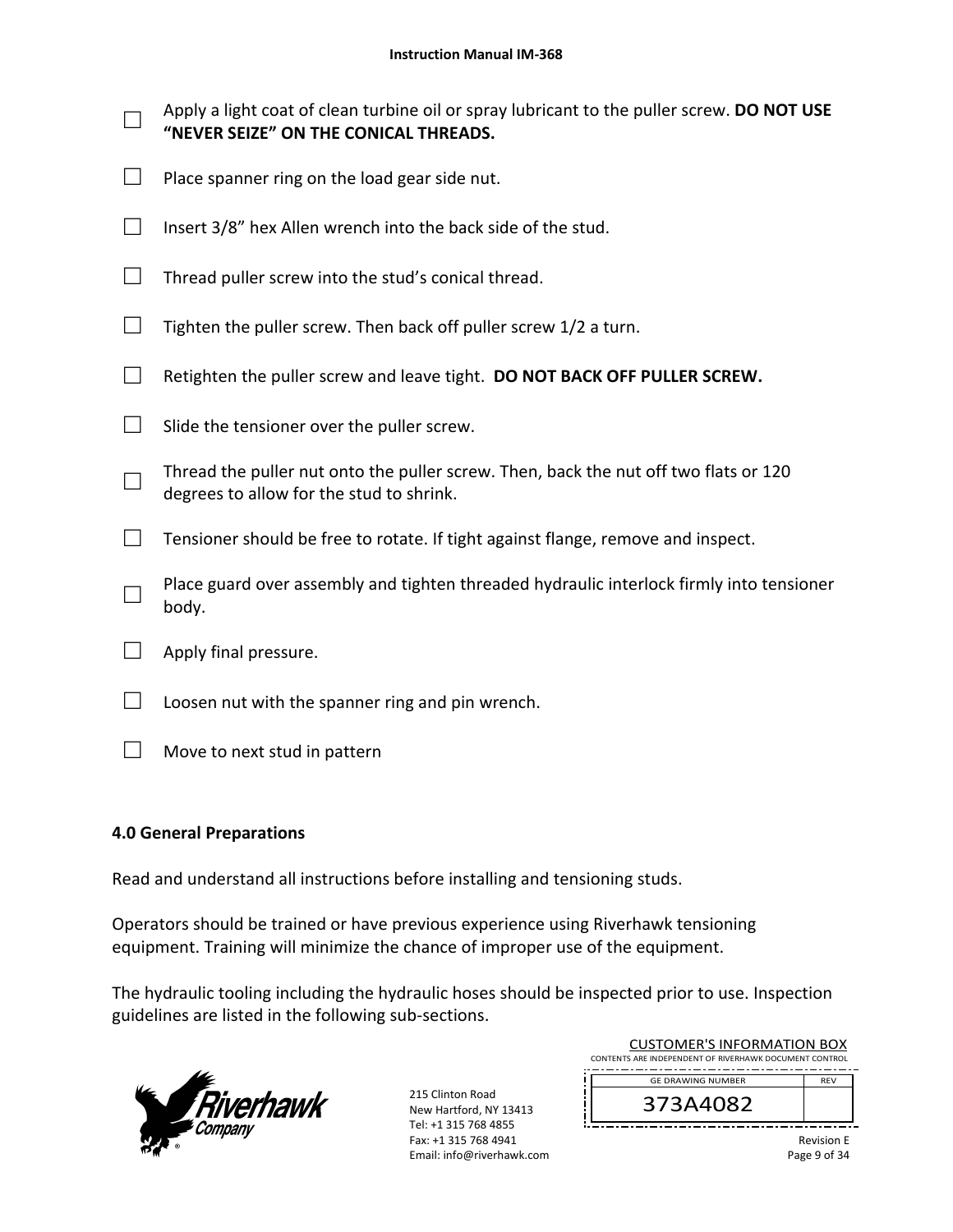| Apply a light coat of clean turbine oil or spray lubricant to the puller screw. DO NOT USE<br>"NEVER SEIZE" ON THE CONICAL THREADS. |
|-------------------------------------------------------------------------------------------------------------------------------------|
| Place spanner ring on the load gear side nut.                                                                                       |
| Insert 3/8" hex Allen wrench into the back side of the stud.                                                                        |
| Thread puller screw into the stud's conical thread.                                                                                 |
| Tighten the puller screw. Then back off puller screw 1/2 a turn.                                                                    |
| Retighten the puller screw and leave tight. DO NOT BACK OFF PULLER SCREW.                                                           |
| Slide the tensioner over the puller screw.                                                                                          |
| Thread the puller nut onto the puller screw. Then, back the nut off two flats or 120<br>degrees to allow for the stud to shrink.    |
| Tensioner should be free to rotate. If tight against flange, remove and inspect.                                                    |
| Place guard over assembly and tighten threaded hydraulic interlock firmly into tensioner<br>body.                                   |
| Apply final pressure.                                                                                                               |
| Loosen nut with the spanner ring and pin wrench.                                                                                    |

**4.0 General Preparations** 

 $\Box$  Move to next stud in pattern

# Read and understand all instructions before installing and tensioning studs.

Operators should be trained or have previous experience using Riverhawk tensioning equipment. Training will minimize the chance of improper use of the equipment.

The hydraulic tooling including the hydraulic hoses should be inspected prior to use. Inspection guidelines are listed in the following sub‐sections.



215 Clinton Road New Hartford, NY 13413 Tel: +1 315 768 4855 Fax: +1 315 768 4941 Email: info@riverhawk.com

|                                                        | <b>CUSTOMER'S INFORMATION BOX</b> |                   |  |
|--------------------------------------------------------|-----------------------------------|-------------------|--|
| CONTENTS ARE INDEPENDENT OF RIVERHAWK DOCUMENT CONTROL |                                   |                   |  |
|                                                        | <b>GE DRAWING NUMBER</b>          | <b>RFV</b>        |  |
|                                                        | 373A4082                          |                   |  |
|                                                        |                                   | <b>Revision F</b> |  |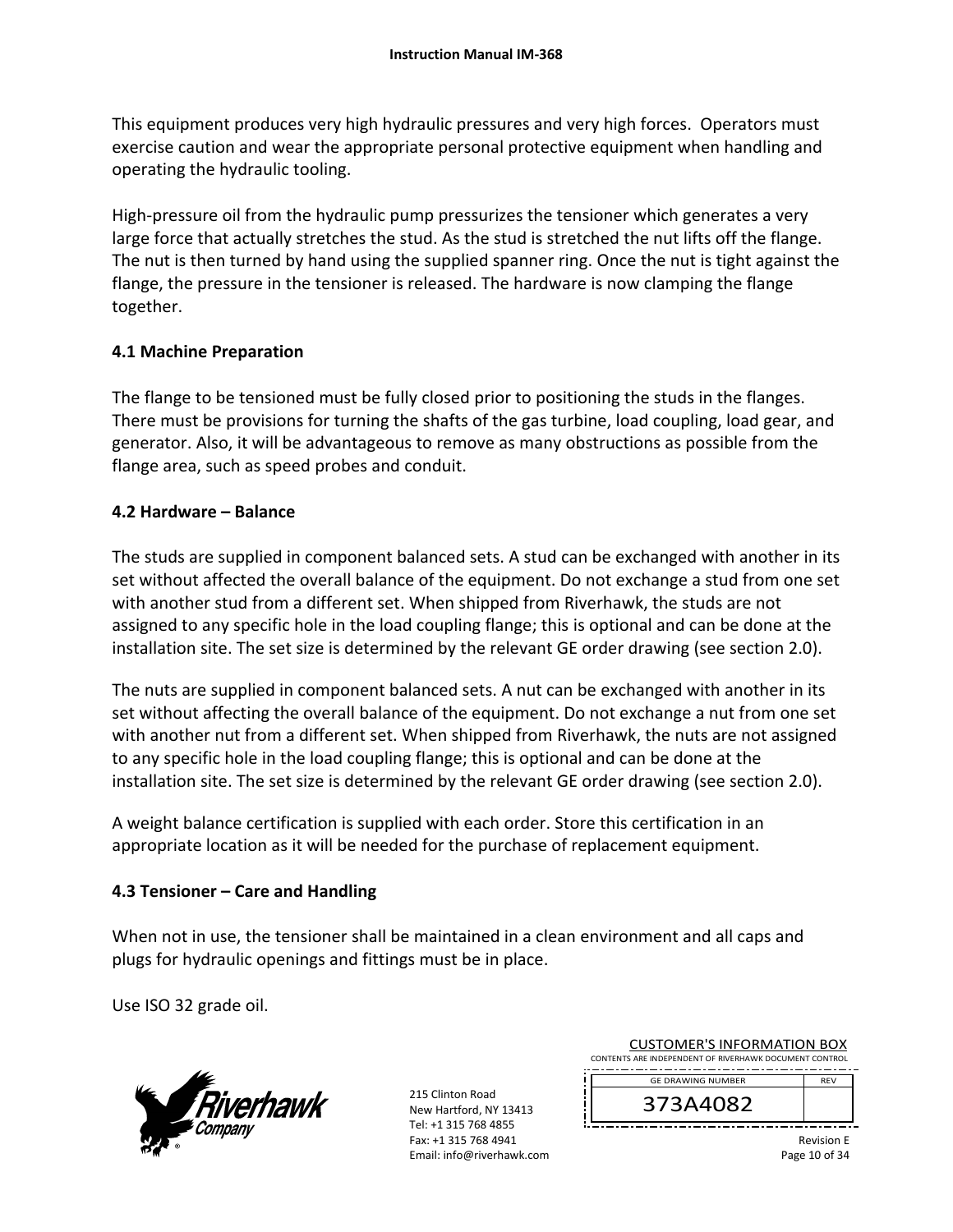This equipment produces very high hydraulic pressures and very high forces. Operators must exercise caution and wear the appropriate personal protective equipment when handling and operating the hydraulic tooling.

High-pressure oil from the hydraulic pump pressurizes the tensioner which generates a very large force that actually stretches the stud. As the stud is stretched the nut lifts off the flange. The nut is then turned by hand using the supplied spanner ring. Once the nut is tight against the flange, the pressure in the tensioner is released. The hardware is now clamping the flange together.

# **4.1 Machine Preparation**

The flange to be tensioned must be fully closed prior to positioning the studs in the flanges. There must be provisions for turning the shafts of the gas turbine, load coupling, load gear, and generator. Also, it will be advantageous to remove as many obstructions as possible from the flange area, such as speed probes and conduit.

# **4.2 Hardware – Balance**

The studs are supplied in component balanced sets. A stud can be exchanged with another in its set without affected the overall balance of the equipment. Do not exchange a stud from one set with another stud from a different set. When shipped from Riverhawk, the studs are not assigned to any specific hole in the load coupling flange; this is optional and can be done at the installation site. The set size is determined by the relevant GE order drawing (see section 2.0).

The nuts are supplied in component balanced sets. A nut can be exchanged with another in its set without affecting the overall balance of the equipment. Do not exchange a nut from one set with another nut from a different set. When shipped from Riverhawk, the nuts are not assigned to any specific hole in the load coupling flange; this is optional and can be done at the installation site. The set size is determined by the relevant GE order drawing (see section 2.0).

A weight balance certification is supplied with each order. Store this certification in an appropriate location as it will be needed for the purchase of replacement equipment.

# **4.3 Tensioner – Care and Handling**

When not in use, the tensioner shall be maintained in a clean environment and all caps and plugs for hydraulic openings and fittings must be in place.

Use ISO 32 grade oil.



215 Clinton Road New Hartford, NY 13413 Tel: +1 315 768 4855 Fax: +1 315 768 4941 Email: info@riverhawk.com

| <b>CUSTOMER'S INFORMATION BOX</b><br>CONTENTS ARE INDEPENDENT OF RIVERHAWK DOCUMENT CONTROL |            |  |
|---------------------------------------------------------------------------------------------|------------|--|
| <b>GE DRAWING NUMBER</b>                                                                    | <b>RFV</b> |  |
| 373A4082                                                                                    |            |  |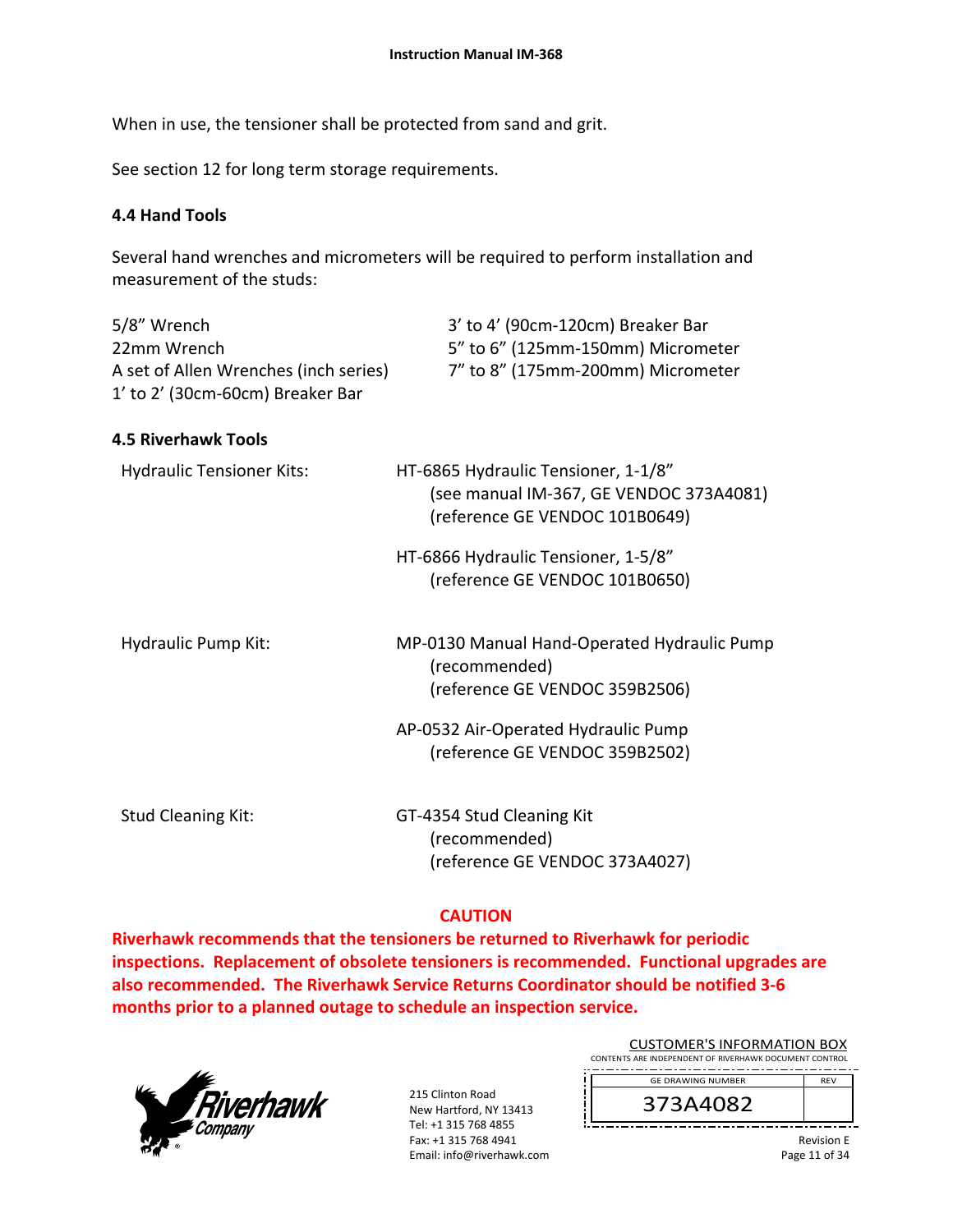When in use, the tensioner shall be protected from sand and grit.

See section 12 for long term storage requirements.

#### **4.4 Hand Tools**

Several hand wrenches and micrometers will be required to perform installation and measurement of the studs:

| 5/8" Wrench                           | 3' to 4' (90cm-120cm) Breaker Bar |
|---------------------------------------|-----------------------------------|
| 22mm Wrench                           | 5" to 6" (125mm-150mm) Micrometer |
| A set of Allen Wrenches (inch series) | 7" to 8" (175mm-200mm) Micrometer |
| 1' to 2' (30cm-60cm) Breaker Bar      |                                   |

#### **4.5 Riverhawk Tools**

| <b>Hydraulic Tensioner Kits:</b> | HT-6865 Hydraulic Tensioner, 1-1/8"<br>(see manual IM-367, GE VENDOC 373A4081)<br>(reference GE VENDOC 101B0649) |
|----------------------------------|------------------------------------------------------------------------------------------------------------------|
|                                  | HT-6866 Hydraulic Tensioner, 1-5/8"<br>(reference GE VENDOC 101B0650)                                            |
| Hydraulic Pump Kit:              | MP-0130 Manual Hand-Operated Hydraulic Pump<br>(recommended)<br>(reference GE VENDOC 359B2506)                   |
|                                  | AP-0532 Air-Operated Hydraulic Pump<br>(reference GE VENDOC 359B2502)                                            |
| <b>Stud Cleaning Kit:</b>        | GT-4354 Stud Cleaning Kit<br>(recommended)<br>(reference GE VENDOC 373A4027)                                     |

#### **CAUTION**

**Riverhawk recommends that the tensioners be returned to Riverhawk for periodic inspections. Replacement of obsolete tensioners is recommended. Functional upgrades are also recommended. The Riverhawk Service Returns Coordinator should be notified 3‐6 months prior to a planned outage to schedule an inspection service.** 



215 Clinton Road New Hartford, NY 13413 Tel: +1 315 768 4855 Fax: +1 315 768 4941 Email: info@riverhawk.com

| <b>CUSTOMER'S INFORMATION BOX</b>                      |            |
|--------------------------------------------------------|------------|
| CONTENTS ARE INDEPENDENT OF RIVERHAWK DOCUMENT CONTROL |            |
| <b>GE DRAWING NUMBER</b>                               | <b>REV</b> |
|                                                        |            |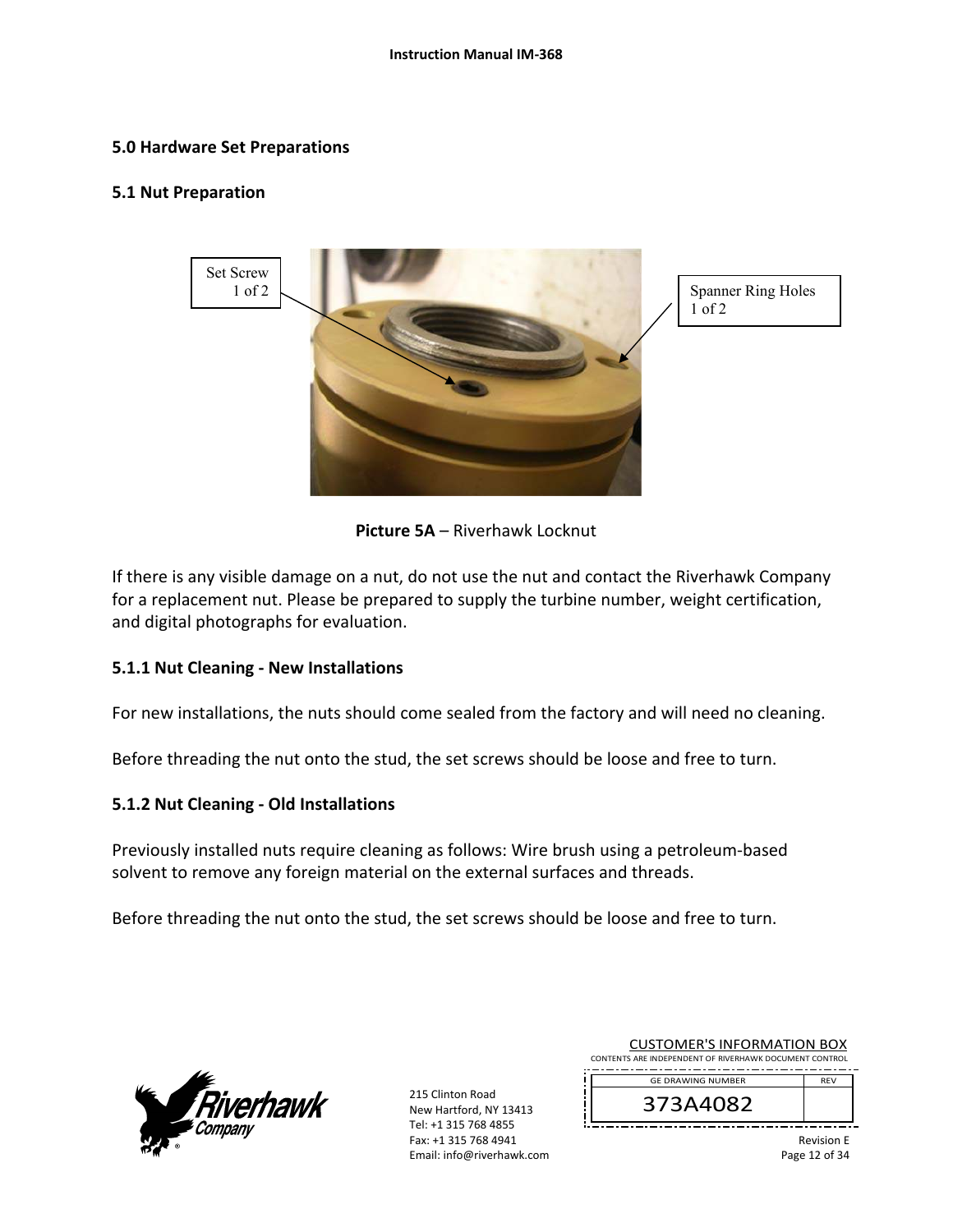#### **5.0 Hardware Set Preparations**

#### **5.1 Nut Preparation**



1 of 2

**Picture 5A** – Riverhawk Locknut

If there is any visible damage on a nut, do not use the nut and contact the Riverhawk Company for a replacement nut. Please be prepared to supply the turbine number, weight certification, and digital photographs for evaluation.

#### **5.1.1 Nut Cleaning ‐ New Installations**

For new installations, the nuts should come sealed from the factory and will need no cleaning.

Before threading the nut onto the stud, the set screws should be loose and free to turn.

#### **5.1.2 Nut Cleaning ‐ Old Installations**

Previously installed nuts require cleaning as follows: Wire brush using a petroleum‐based solvent to remove any foreign material on the external surfaces and threads.

Before threading the nut onto the stud, the set screws should be loose and free to turn.



215 Clinton Road New Hartford, NY 13413 Tel: +1 315 768 4855 Fax: +1 315 768 4941 Email: info@riverhawk.com

| 373 L LOOS                                             |            |
|--------------------------------------------------------|------------|
| <b>GF DRAWING NUMBER</b>                               | <b>RFV</b> |
| CONTENTS ARE INDEPENDENT OF RIVERHAWK DOCUMENT CONTROL |            |
| CUSTOMIER S INFORMATION BOX                            |            |

CUCTOMER'S INFORMATION BOY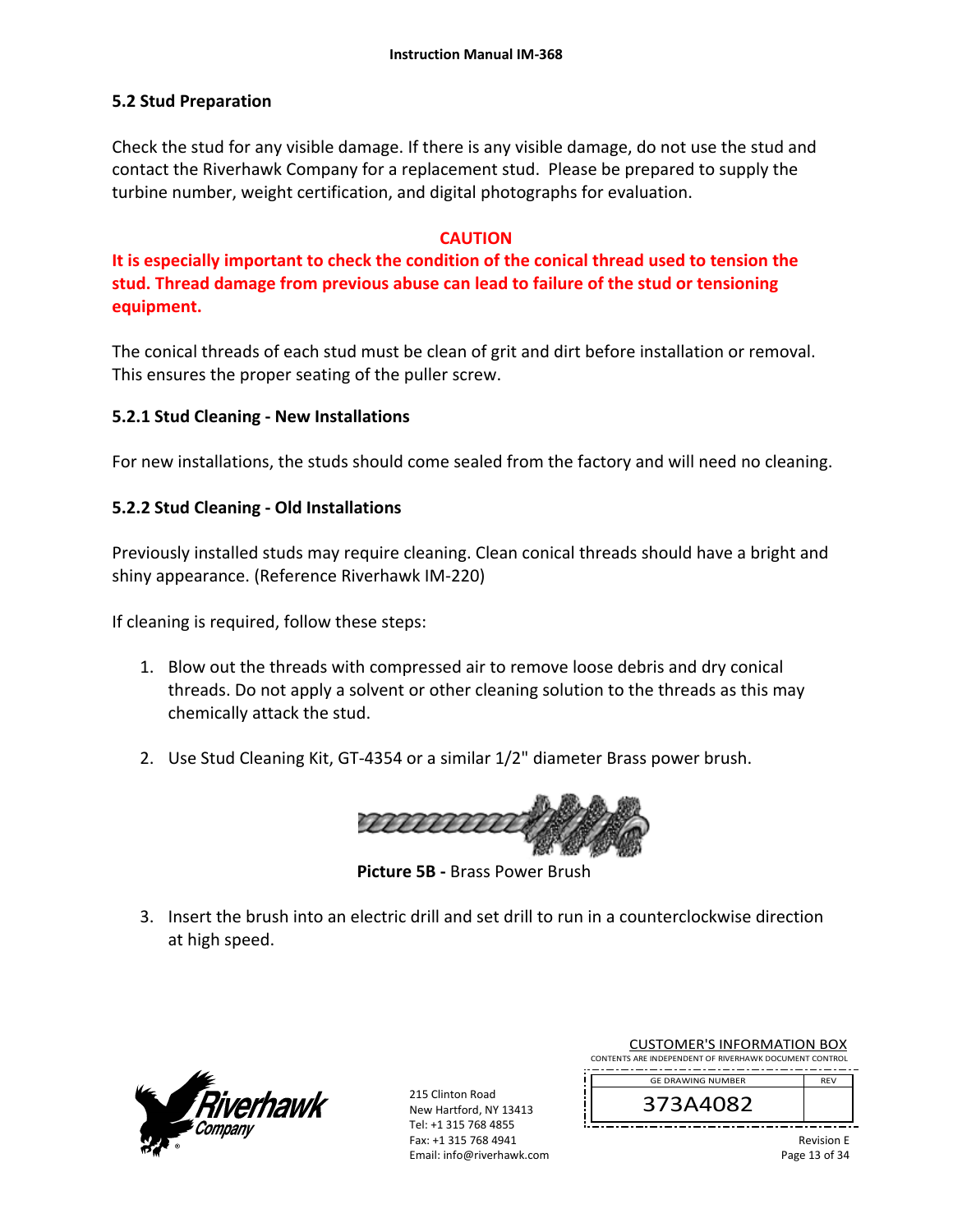#### **5.2 Stud Preparation**

Check the stud for any visible damage. If there is any visible damage, do not use the stud and contact the Riverhawk Company for a replacement stud. Please be prepared to supply the turbine number, weight certification, and digital photographs for evaluation.

#### **CAUTION**

**It is especially important to check the condition of the conical thread used to tension the stud. Thread damage from previous abuse can lead to failure of the stud or tensioning equipment.**

The conical threads of each stud must be clean of grit and dirt before installation or removal. This ensures the proper seating of the puller screw.

#### **5.2.1 Stud Cleaning ‐ New Installations**

For new installations, the studs should come sealed from the factory and will need no cleaning.

#### **5.2.2 Stud Cleaning ‐ Old Installations**

Previously installed studs may require cleaning. Clean conical threads should have a bright and shiny appearance. (Reference Riverhawk IM‐220)

If cleaning is required, follow these steps:

- 1. Blow out the threads with compressed air to remove loose debris and dry conical threads. Do not apply a solvent or other cleaning solution to the threads as this may chemically attack the stud.
- 2. Use Stud Cleaning Kit, GT‐4354 or a similar 1/2" diameter Brass power brush.



 **Picture 5B ‐** Brass Power Brush

3. Insert the brush into an electric drill and set drill to run in a counterclockwise direction at high speed.



215 Clinton Road New Hartford, NY 13413 Tel: +1 315 768 4855 Fax: +1 315 768 4941 Email: info@riverhawk.com

| <b>CUSTOMER'S INFORMATION BOX</b>                      |            |  |
|--------------------------------------------------------|------------|--|
| CONTENTS ARE INDEPENDENT OF RIVERHAWK DOCUMENT CONTROL |            |  |
| <b>GE DRAWING NUMBER</b>                               | <b>RFV</b> |  |
| 373A4082                                               |            |  |

Revision E Page 13 of 34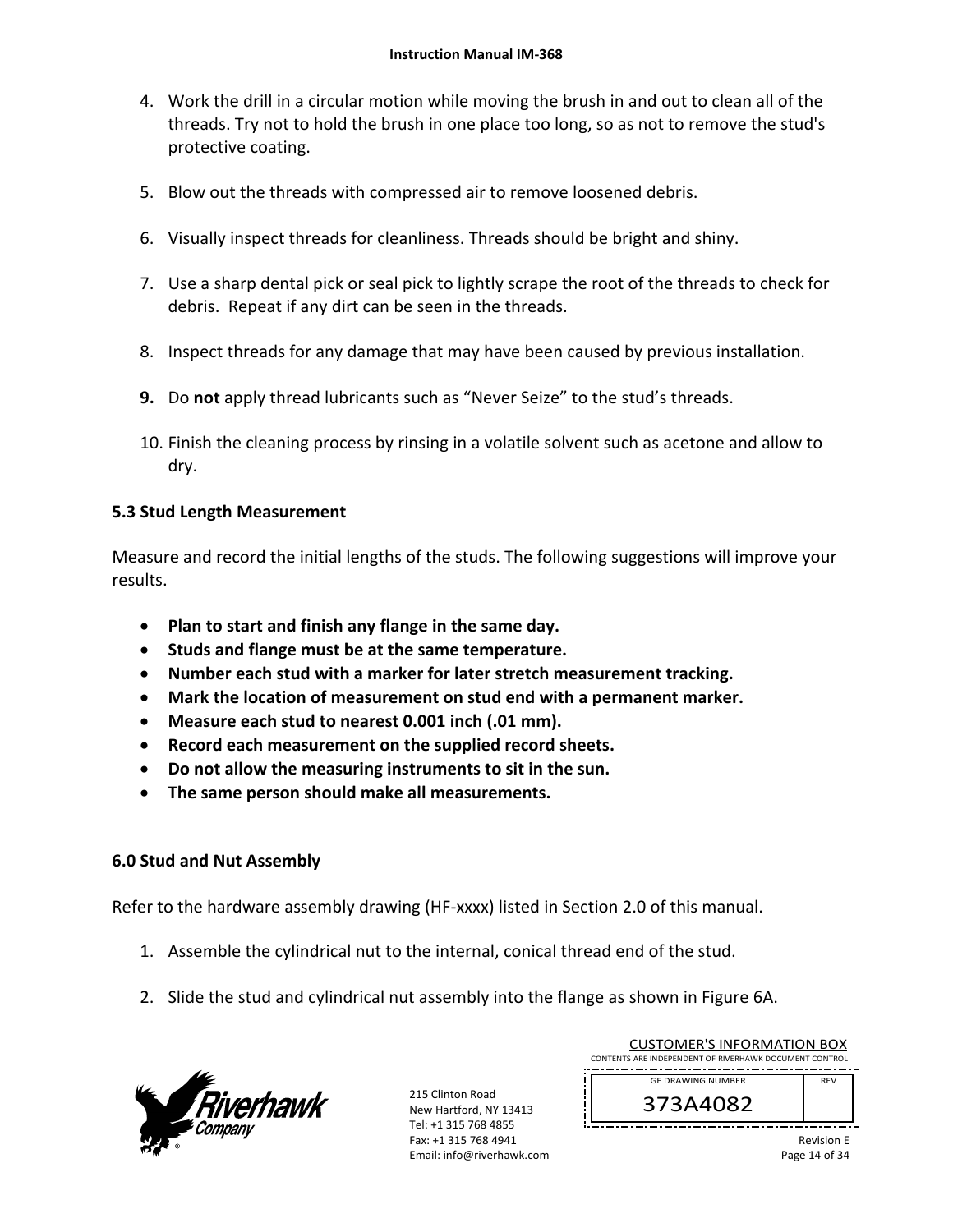- 4. Work the drill in a circular motion while moving the brush in and out to clean all of the threads. Try not to hold the brush in one place too long, so as not to remove the stud's protective coating.
- 5. Blow out the threads with compressed air to remove loosened debris.
- 6. Visually inspect threads for cleanliness. Threads should be bright and shiny.
- 7. Use a sharp dental pick or seal pick to lightly scrape the root of the threads to check for debris. Repeat if any dirt can be seen in the threads.
- 8. Inspect threads for any damage that may have been caused by previous installation.
- **9.** Do **not** apply thread lubricants such as "Never Seize" to the stud's threads.
- 10. Finish the cleaning process by rinsing in a volatile solvent such as acetone and allow to dry.

# **5.3 Stud Length Measurement**

Measure and record the initial lengths of the studs. The following suggestions will improve your results.

- **Plan to start and finish any flange in the same day.**
- **•** Studs and flange must be at the same temperature.
- **Number each stud with a marker for later stretch measurement tracking.**
- **Mark the location of measurement on stud end with a permanent marker.**
- **Measure each stud to nearest 0.001 inch (.01 mm).**
- **Record each measurement on the supplied record sheets.**
- **Do not allow the measuring instruments to sit in the sun.**
- **The same person should make all measurements.**

#### **6.0 Stud and Nut Assembly**

Refer to the hardware assembly drawing (HF-xxxx) listed in Section 2.0 of this manual.

- 1. Assemble the cylindrical nut to the internal, conical thread end of the stud.
- 2. Slide the stud and cylindrical nut assembly into the flange as shown in Figure 6A.



215 Clinton Road New Hartford, NY 13413 Tel: +1 315 768 4855 Fax: +1 315 768 4941 Email: info@riverhawk.com

| CUSTUIVIEN 3 INFUNIVIATIUN BUA<br>CONTENTS ARE INDEPENDENT OF RIVERHAWK DOCUMENT CONTROL |                          |                   |
|------------------------------------------------------------------------------------------|--------------------------|-------------------|
|                                                                                          | <b>GE DRAWING NUMBER</b> | <b>RFV</b>        |
|                                                                                          | 373A4082                 |                   |
|                                                                                          |                          | <b>Revision F</b> |

CUCTOMER'S INFORMATION BOY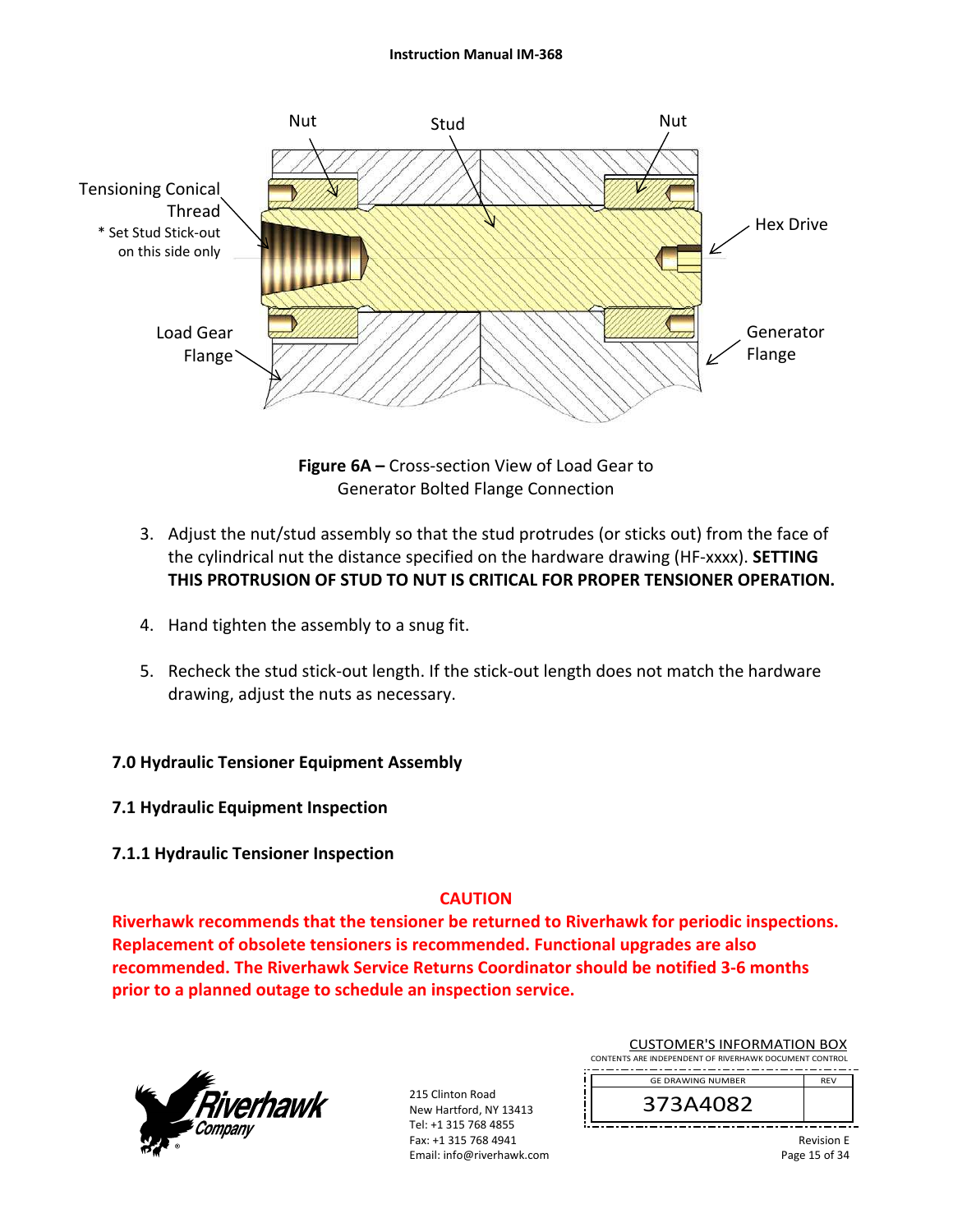#### **Instruction Manual IM‐368**



**Figure 6A –** Cross‐section View of Load Gear to Generator Bolted Flange Connection

- 3. Adjust the nut/stud assembly so that the stud protrudes (or sticks out) from the face of the cylindrical nut the distance specified on the hardware drawing (HF‐xxxx). **SETTING THIS PROTRUSION OF STUD TO NUT IS CRITICAL FOR PROPER TENSIONER OPERATION.**
- 4. Hand tighten the assembly to a snug fit.
- 5. Recheck the stud stick-out length. If the stick-out length does not match the hardware drawing, adjust the nuts as necessary.

# **7.0 Hydraulic Tensioner Equipment Assembly**

- **7.1 Hydraulic Equipment Inspection**
- **7.1.1 Hydraulic Tensioner Inspection**

# **CAUTION**

**Riverhawk recommends that the tensioner be returned to Riverhawk for periodic inspections. Replacement of obsolete tensioners is recommended. Functional upgrades are also recommended. The Riverhawk Service Returns Coordinator should be notified 3‐6 months prior to a planned outage to schedule an inspection service.** 



215 Clinton Road New Hartford, NY 13413 Tel: +1 315 768 4855 Fax: +1 315 768 4941 Email: info@riverhawk.com

|                                                        | 27284097                 |            |  |  |
|--------------------------------------------------------|--------------------------|------------|--|--|
|                                                        | <b>GE DRAWING NUMBER</b> | <b>RFV</b> |  |  |
| CONTENTS ARE INDEPENDENT OF RIVERHAWK DOCUMENT CONTROL |                          |            |  |  |
| COSTOIVIER 3 INFORMATION BOA                           |                          |            |  |  |

CUCTOMER'S INFORMATION BOY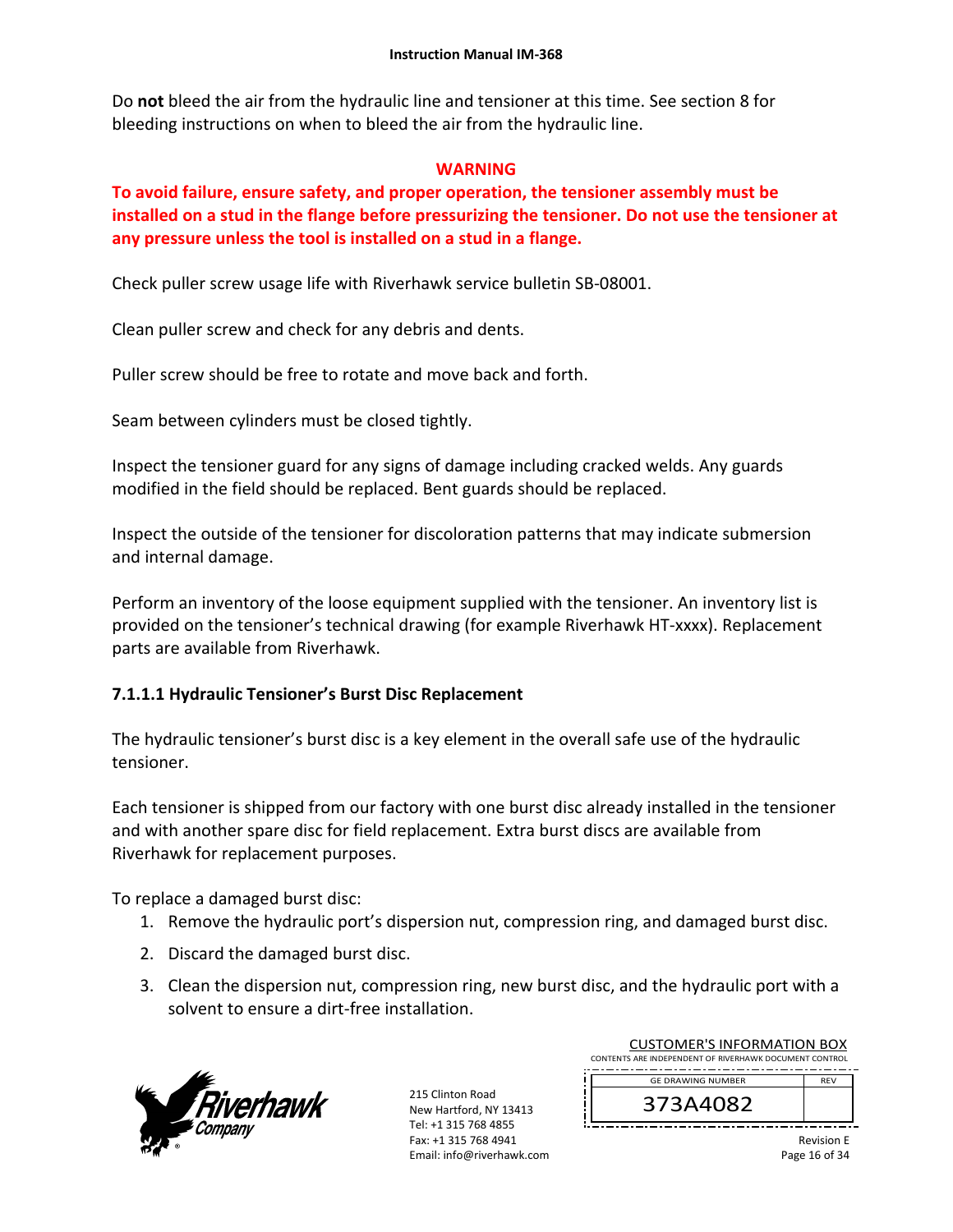Do **not** bleed the air from the hydraulic line and tensioner at this time. See section 8 for bleeding instructions on when to bleed the air from the hydraulic line.

#### **WARNING**

# **To avoid failure, ensure safety, and proper operation, the tensioner assembly must be installed on a stud in the flange before pressurizing the tensioner. Do not use the tensioner at any pressure unless the tool is installed on a stud in a flange.**

Check puller screw usage life with Riverhawk service bulletin SB‐08001.

Clean puller screw and check for any debris and dents.

Puller screw should be free to rotate and move back and forth.

Seam between cylinders must be closed tightly.

Inspect the tensioner guard for any signs of damage including cracked welds. Any guards modified in the field should be replaced. Bent guards should be replaced.

Inspect the outside of the tensioner for discoloration patterns that may indicate submersion and internal damage.

Perform an inventory of the loose equipment supplied with the tensioner. An inventory list is provided on the tensioner's technical drawing (for example Riverhawk HT‐xxxx). Replacement parts are available from Riverhawk.

#### **7.1.1.1 Hydraulic Tensioner's Burst Disc Replacement**

The hydraulic tensioner's burst disc is a key element in the overall safe use of the hydraulic tensioner.

Each tensioner is shipped from our factory with one burst disc already installed in the tensioner and with another spare disc for field replacement. Extra burst discs are available from Riverhawk for replacement purposes.

To replace a damaged burst disc:

- 1. Remove the hydraulic port's dispersion nut, compression ring, and damaged burst disc.
- 2. Discard the damaged burst disc.
- 3. Clean the dispersion nut, compression ring, new burst disc, and the hydraulic port with a solvent to ensure a dirt‐free installation.



215 Clinton Road New Hartford, NY 13413 Tel: +1 315 768 4855 Fax: +1 315 768 4941 Email: info@riverhawk.com

| <b>CUSTOMER'S INFORMATION BOX</b>                      |  |  |  |
|--------------------------------------------------------|--|--|--|
| CONTENTS ARE INDEPENDENT OF RIVERHAWK DOCUMENT CONTROL |  |  |  |
| <b>GE DRAWING NUMBER</b><br><b>RFV</b>                 |  |  |  |
| 373A4082                                               |  |  |  |

Revision E Page 16 of 34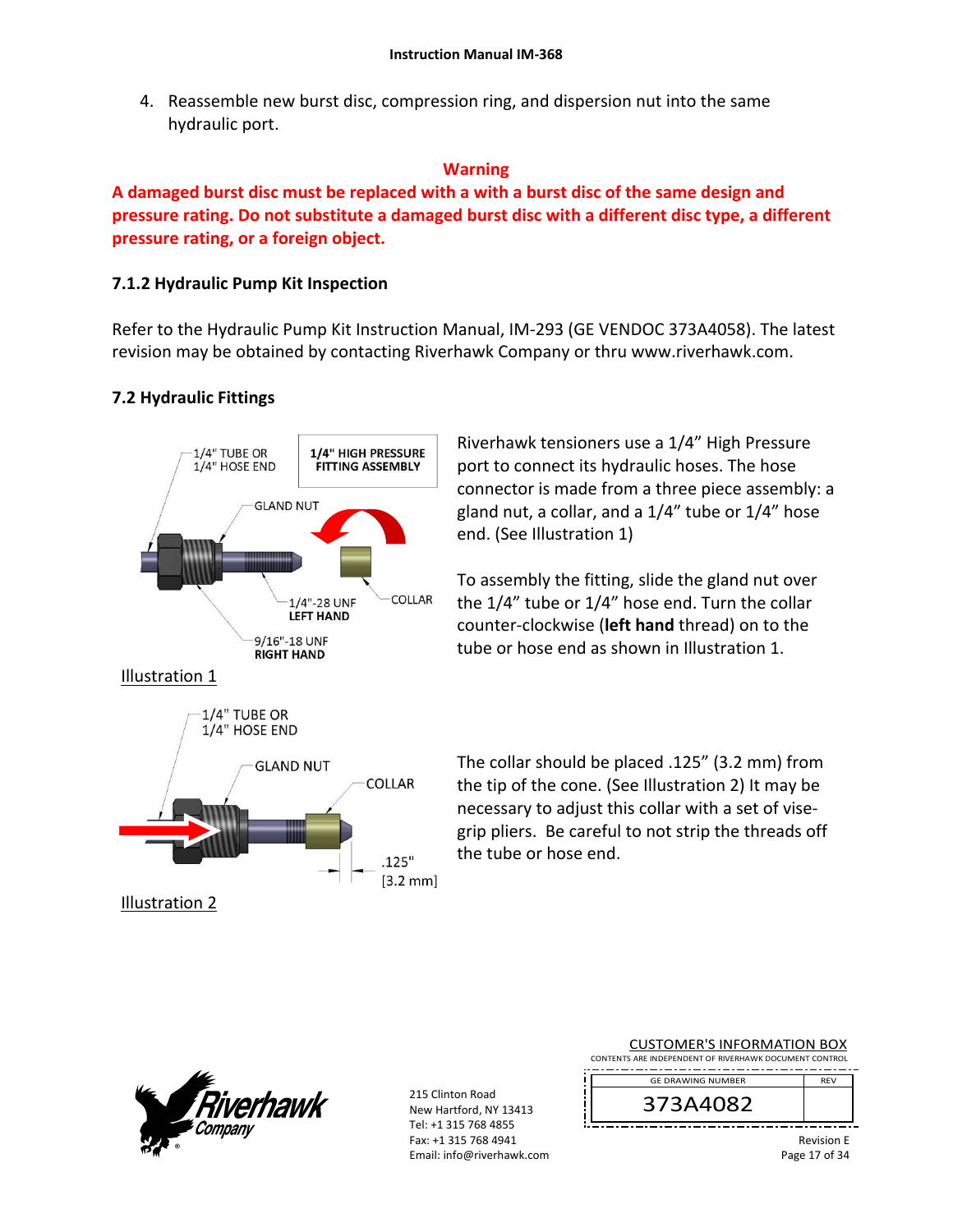4. Reassemble new burst disc, compression ring, and dispersion nut into the same hydraulic port.

#### **Warning**

**A damaged burst disc must be replaced with a with a burst disc of the same design and pressure rating. Do not substitute a damaged burst disc with a different disc type, a different pressure rating, or a foreign object.**

# **7.1.2 Hydraulic Pump Kit Inspection**

Refer to the Hydraulic Pump Kit Instruction Manual, IM‐293 (GE VENDOC 373A4058). The latest revision may be obtained by contacting Riverhawk Company or thru www.riverhawk.com.

# **7.2 Hydraulic Fittings**



Riverhawk tensioners use a 1/4" High Pressure port to connect its hydraulic hoses. The hose connector is made from a three piece assembly: a gland nut, a collar, and a 1/4" tube or 1/4" hose end. (See Illustration 1)

To assembly the fitting, slide the gland nut over the 1/4" tube or 1/4" hose end. Turn the collar counter‐clockwise (**left hand** thread) on to the tube or hose end as shown in Illustration 1.

The collar should be placed .125" (3.2 mm) from the tip of the cone. (See Illustration 2) It may be necessary to adjust this collar with a set of vise‐ grip pliers. Be careful to not strip the threads off the tube or hose end.

ï



215 Clinton Road New Hartford, NY 13413 Tel: +1 315 768 4855 Fax: +1 315 768 4941 Email: info@riverhawk.com

| <b>CUSTOMER'S INFORMATION BOX</b>                      |            |  |  |
|--------------------------------------------------------|------------|--|--|
| CONTENTS ARE INDEPENDENT OF RIVERHAWK DOCUMENT CONTROL |            |  |  |
| <b>GE DRAWING NUMBER</b>                               | <b>RFV</b> |  |  |
| 373A4082                                               |            |  |  |

Revision E Page 17 of 34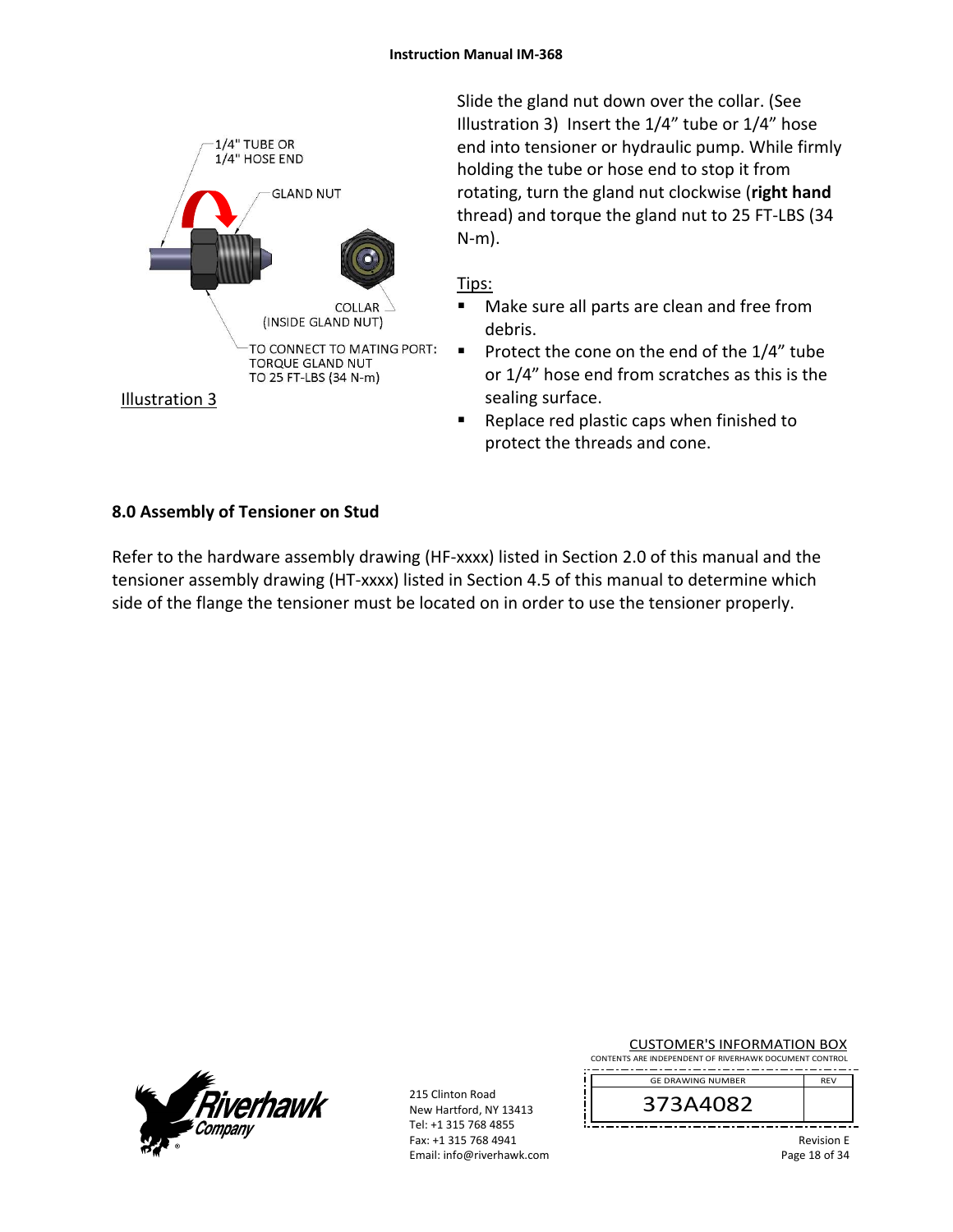

Slide the gland nut down over the collar. (See Illustration 3) Insert the 1/4" tube or 1/4" hose end into tensioner or hydraulic pump. While firmly holding the tube or hose end to stop it from rotating, turn the gland nut clockwise (**right hand** thread) and torque the gland nut to 25 FT‐LBS (34 N‐m).

# Tips:

- Make sure all parts are clean and free from debris.
- Protect the cone on the end of the  $1/4$ " tube or 1/4" hose end from scratches as this is the sealing surface.
- Replace red plastic caps when finished to protect the threads and cone.

# **8.0 Assembly of Tensioner on Stud**

Refer to the hardware assembly drawing (HF-xxxx) listed in Section 2.0 of this manual and the tensioner assembly drawing (HT‐xxxx) listed in Section 4.5 of this manual to determine which side of the flange the tensioner must be located on in order to use the tensioner properly.



215 Clinton Road New Hartford, NY 13413 Tel: +1 315 768 4855 Fax: +1 315 768 4941 Email: info@riverhawk.com

|  |  |  |  |  | <b>CUSTOMER'S INFORMATION BOX</b>                   |  |
|--|--|--|--|--|-----------------------------------------------------|--|
|  |  |  |  |  | NITE ARE INDEDENDENT OF BIVERHAMIK DOCUMENT CONTROL |  |

CONTENTS ARE INDEPENDENT OF RIVERHAWK DOCUMENT CONTROL REV GE DRAWING NUMBER



Revision E Page 18 of 34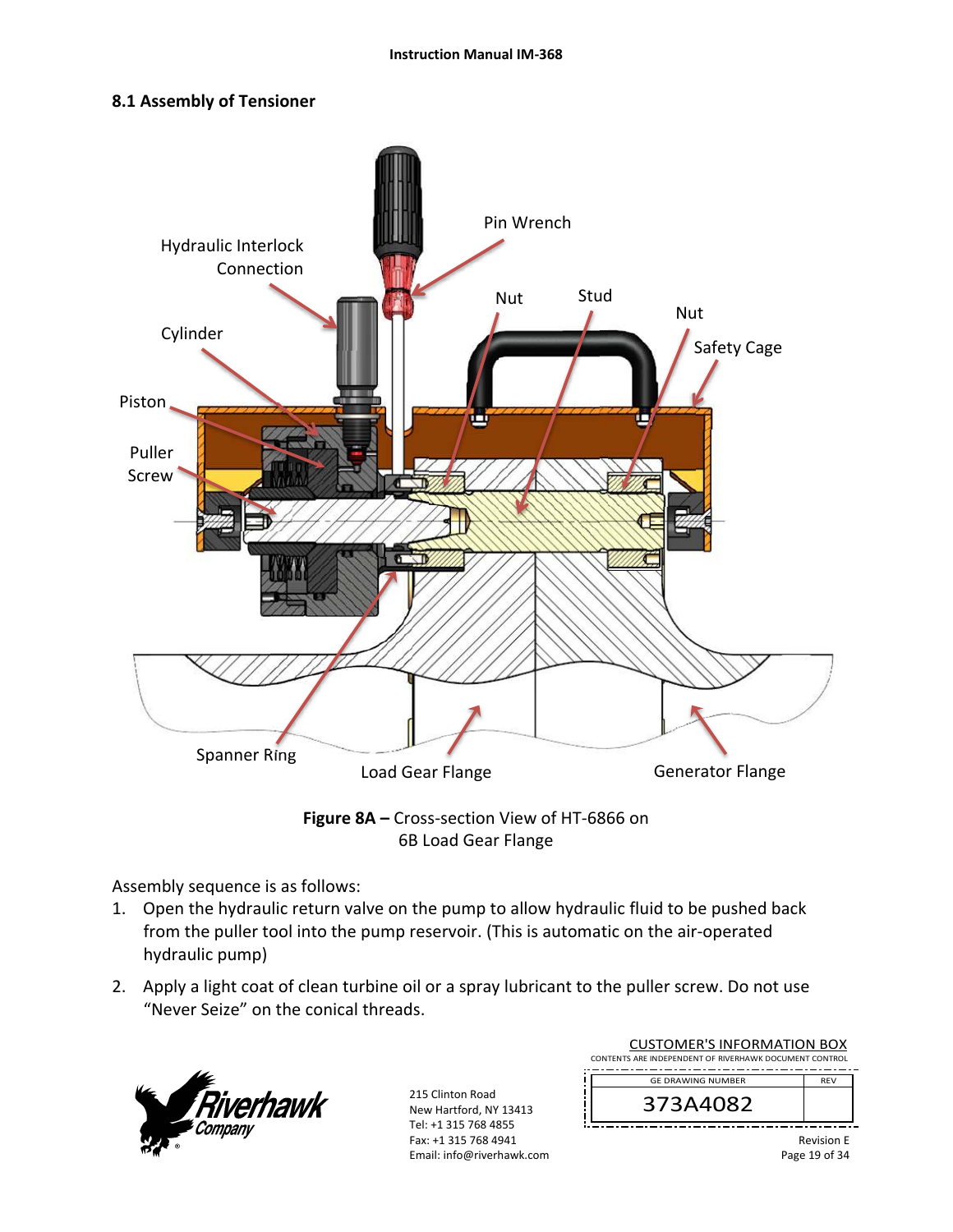# **8.1 Assembly of Tensioner**



**Figure 8A –** Cross‐section View of HT‐6866 on 6B Load Gear Flange

Assembly sequence is as follows:

- 1. Open the hydraulic return valve on the pump to allow hydraulic fluid to be pushed back from the puller tool into the pump reservoir. (This is automatic on the air‐operated hydraulic pump)
- 2. Apply a light coat of clean turbine oil or a spray lubricant to the puller screw. Do not use "Never Seize" on the conical threads.



215 Clinton Road New Hartford, NY 13413 Tel: +1 315 768 4855 Fax: +1 315 768 4941 Email: info@riverhawk.com

| <b>CUSTOMER'S INFORMATION BOX</b><br>CONTENTS ARE INDEPENDENT OF RIVERHAWK DOCUMENT CONTROL |                   |
|---------------------------------------------------------------------------------------------|-------------------|
| <b>GF DRAWING NUMBER</b>                                                                    | <b>RFV</b>        |
| 373A4082                                                                                    |                   |
|                                                                                             | <b>Revision E</b> |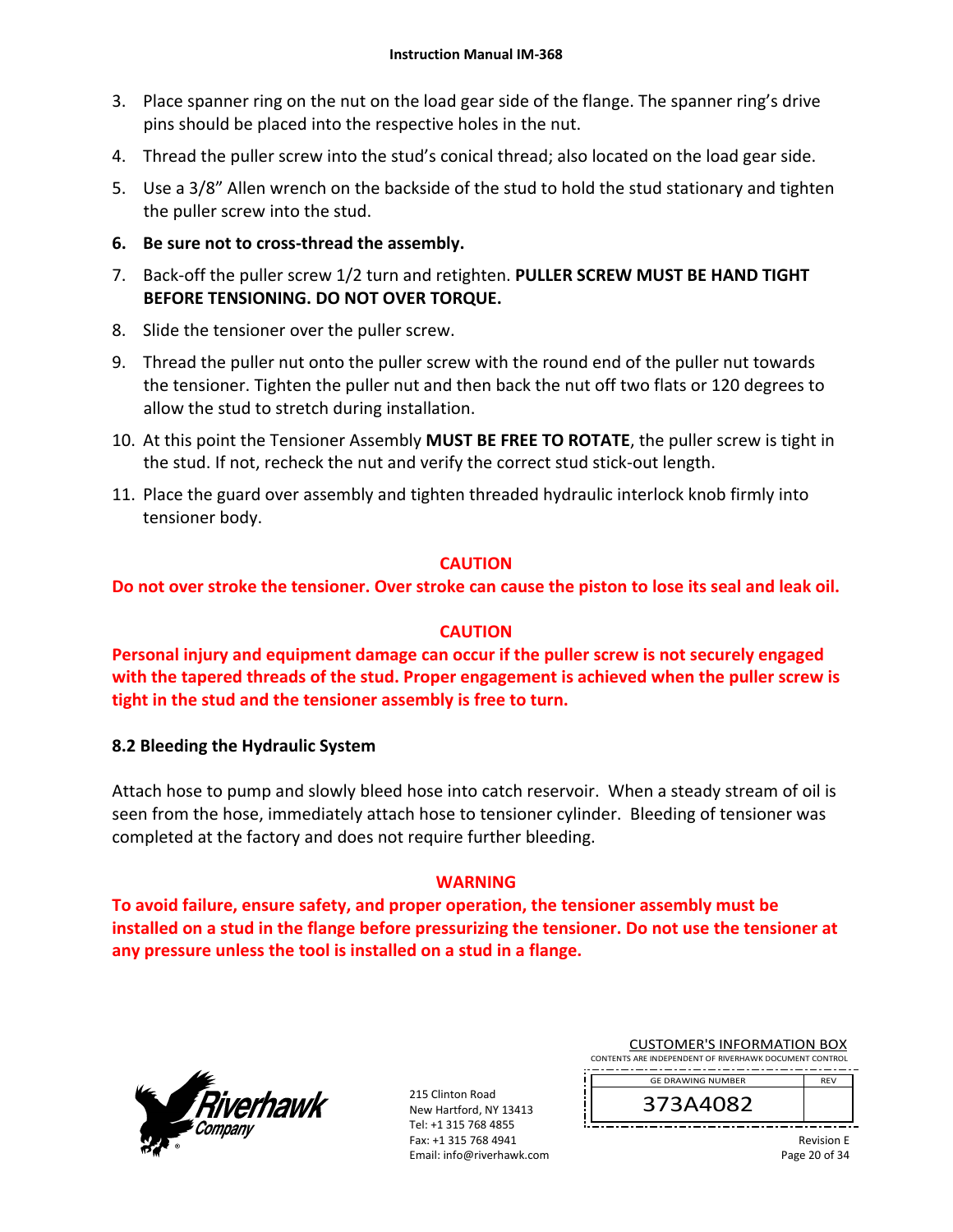- 3. Place spanner ring on the nut on the load gear side of the flange. The spanner ring's drive pins should be placed into the respective holes in the nut.
- 4. Thread the puller screw into the stud's conical thread; also located on the load gear side.
- 5. Use a 3/8" Allen wrench on the backside of the stud to hold the stud stationary and tighten the puller screw into the stud.
- **6. Be sure not to cross‐thread the assembly.**
- 7. Back‐off the puller screw 1/2 turn and retighten. **PULLER SCREW MUST BE HAND TIGHT BEFORE TENSIONING. DO NOT OVER TORQUE.**
- 8. Slide the tensioner over the puller screw.
- 9. Thread the puller nut onto the puller screw with the round end of the puller nut towards the tensioner. Tighten the puller nut and then back the nut off two flats or 120 degrees to allow the stud to stretch during installation.
- 10. At this point the Tensioner Assembly **MUST BE FREE TO ROTATE**, the puller screw is tight in the stud. If not, recheck the nut and verify the correct stud stick‐out length.
- 11. Place the guard over assembly and tighten threaded hydraulic interlock knob firmly into tensioner body.

# **CAUTION**

**Do not over stroke the tensioner. Over stroke can cause the piston to lose its seal and leak oil.** 

#### **CAUTION**

**Personal injury and equipment damage can occur if the puller screw is not securely engaged with the tapered threads of the stud. Proper engagement is achieved when the puller screw is tight in the stud and the tensioner assembly is free to turn.** 

#### **8.2 Bleeding the Hydraulic System**

Attach hose to pump and slowly bleed hose into catch reservoir. When a steady stream of oil is seen from the hose, immediately attach hose to tensioner cylinder. Bleeding of tensioner was completed at the factory and does not require further bleeding.

#### **WARNING**

**To avoid failure, ensure safety, and proper operation, the tensioner assembly must be installed on a stud in the flange before pressurizing the tensioner. Do not use the tensioner at any pressure unless the tool is installed on a stud in a flange.** 



215 Clinton Road New Hartford, NY 13413 Tel: +1 315 768 4855 Fax: +1 315 768 4941 Email: info@riverhawk.com

| <b>CUSTOMER'S INFORMATION BOX</b>                      |
|--------------------------------------------------------|
| CONTENTS ARE INDEPENDENT OF RIVERHAWK DOCUMENT CONTROL |
| -----------------------------------                    |

GE DRAWING NUMBER

373A4082

REV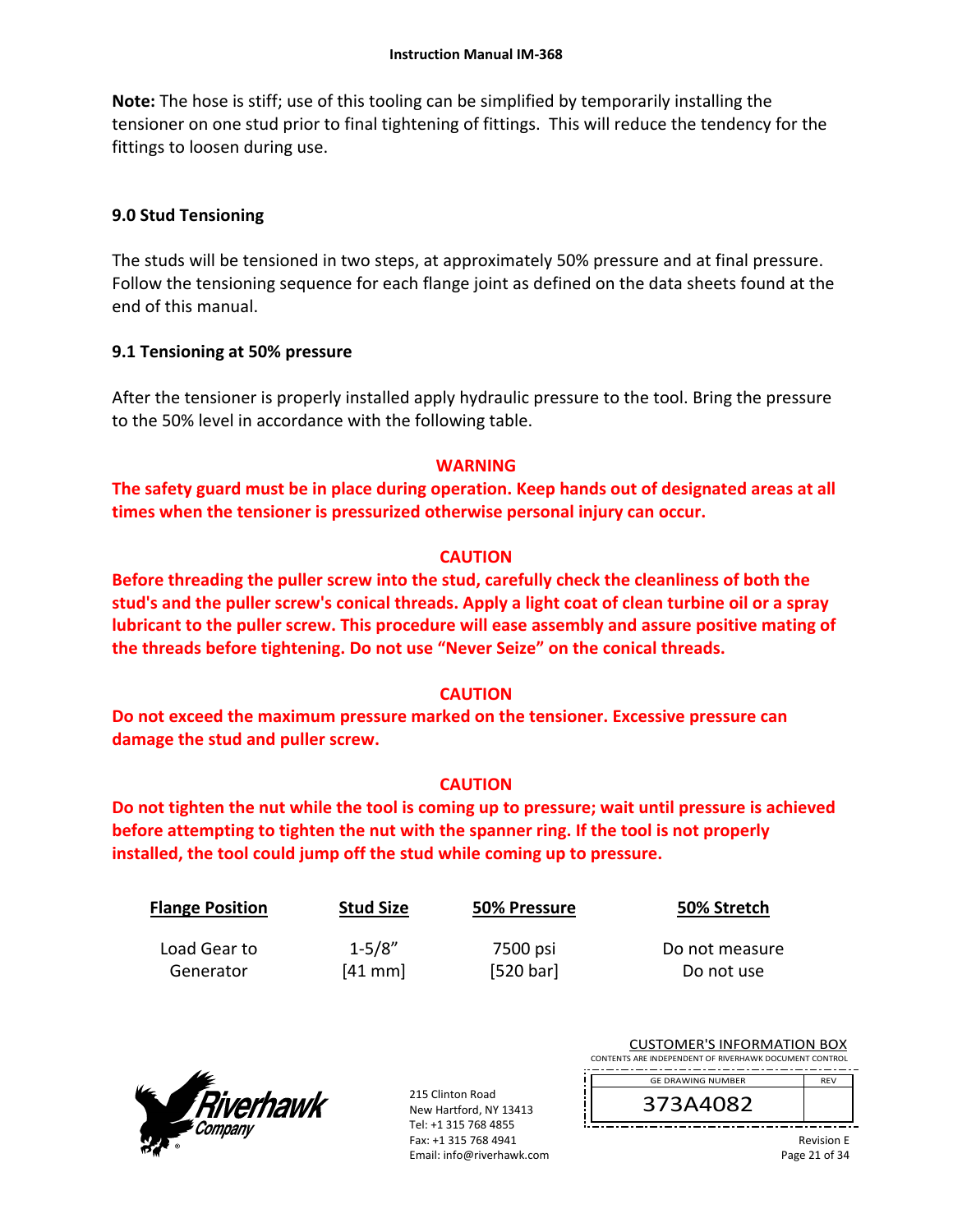**Note:** The hose is stiff; use of this tooling can be simplified by temporarily installing the tensioner on one stud prior to final tightening of fittings. This will reduce the tendency for the fittings to loosen during use.

# **9.0 Stud Tensioning**

The studs will be tensioned in two steps, at approximately 50% pressure and at final pressure. Follow the tensioning sequence for each flange joint as defined on the data sheets found at the end of this manual.

# **9.1 Tensioning at 50% pressure**

After the tensioner is properly installed apply hydraulic pressure to the tool. Bring the pressure to the 50% level in accordance with the following table.

# **WARNING**

**The safety guard must be in place during operation. Keep hands out of designated areas at all times when the tensioner is pressurized otherwise personal injury can occur.** 

# **CAUTION**

**Before threading the puller screw into the stud, carefully check the cleanliness of both the stud's and the puller screw's conical threads. Apply a light coat of clean turbine oil or a spray lubricant to the puller screw. This procedure will ease assembly and assure positive mating of the threads before tightening. Do not use "Never Seize" on the conical threads.** 

# **CAUTION**

**Do not exceed the maximum pressure marked on the tensioner. Excessive pressure can damage the stud and puller screw.** 

# **CAUTION**

**Do not tighten the nut while the tool is coming up to pressure; wait until pressure is achieved before attempting to tighten the nut with the spanner ring. If the tool is not properly installed, the tool could jump off the stud while coming up to pressure.** 

| <b>Flange Position</b> | <b>Stud Size</b> | 50% Pressure | 50% Stretch    |
|------------------------|------------------|--------------|----------------|
| Load Gear to           | $1 - 5/8"$       | 7500 psi     | Do not measure |
| Generator              | [41 mm]          | [520 bar]    | Do not use     |



215 Clinton Road New Hartford, NY 13413 Tel: +1 315 768 4855 Fax: +1 315 768 4941 Email: info@riverhawk.com

| <b>CUSTOMER'S INFORMATION BOX</b>                      |            |  |
|--------------------------------------------------------|------------|--|
| CONTENTS ARE INDEPENDENT OF RIVERHAWK DOCUMENT CONTROL |            |  |
| --                                                     |            |  |
| <b>GE DRAWING NUMBER</b>                               | <b>REV</b> |  |
|                                                        |            |  |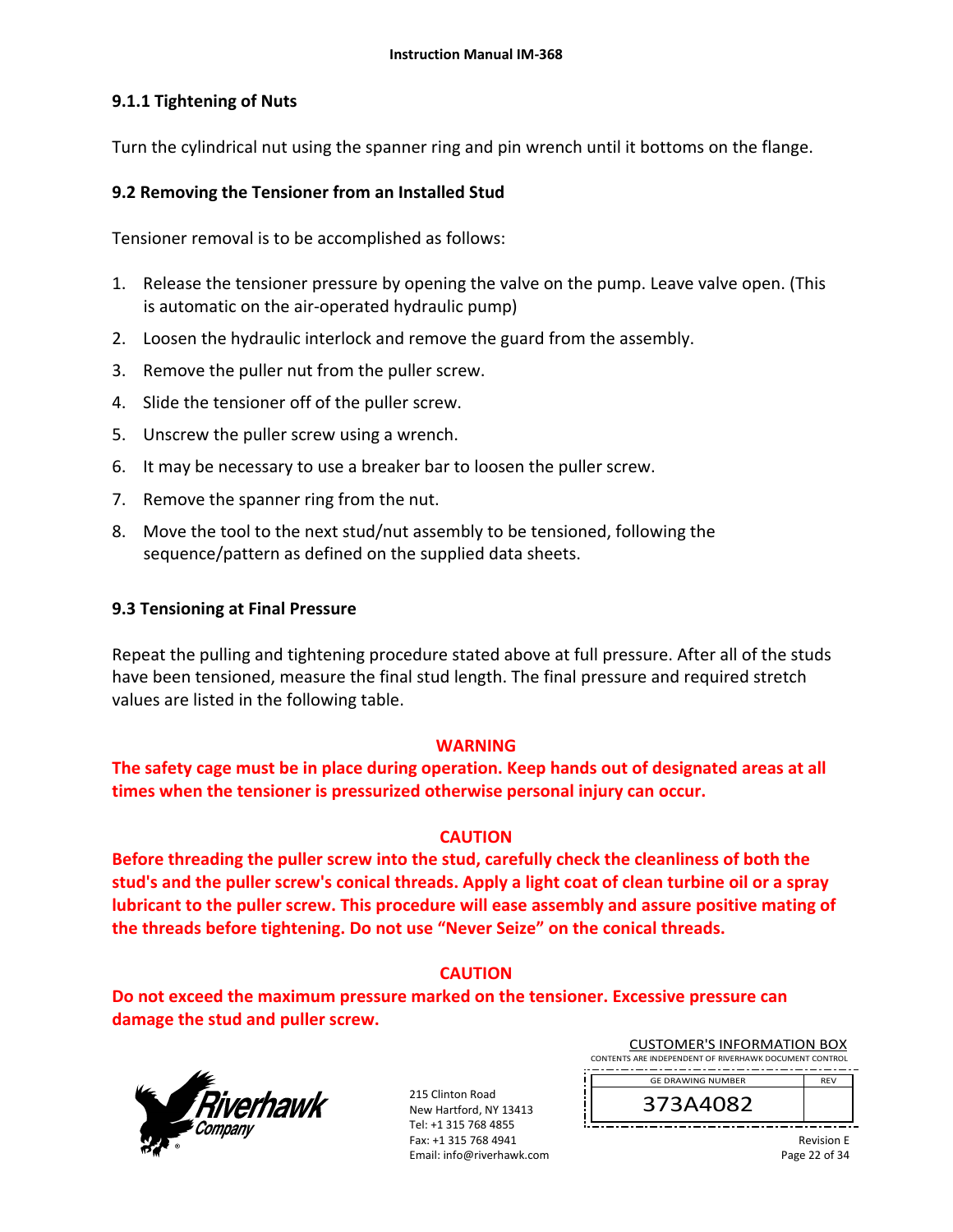# **9.1.1 Tightening of Nuts**

Turn the cylindrical nut using the spanner ring and pin wrench until it bottoms on the flange.

#### **9.2 Removing the Tensioner from an Installed Stud**

Tensioner removal is to be accomplished as follows:

- 1. Release the tensioner pressure by opening the valve on the pump. Leave valve open. (This is automatic on the air‐operated hydraulic pump)
- 2. Loosen the hydraulic interlock and remove the guard from the assembly.
- 3. Remove the puller nut from the puller screw.
- 4. Slide the tensioner off of the puller screw.
- 5. Unscrew the puller screw using a wrench.
- 6. It may be necessary to use a breaker bar to loosen the puller screw.
- 7. Remove the spanner ring from the nut.
- 8. Move the tool to the next stud/nut assembly to be tensioned, following the sequence/pattern as defined on the supplied data sheets.

#### **9.3 Tensioning at Final Pressure**

Repeat the pulling and tightening procedure stated above at full pressure. After all of the studs have been tensioned, measure the final stud length. The final pressure and required stretch values are listed in the following table.

#### **WARNING**

**The safety cage must be in place during operation. Keep hands out of designated areas at all times when the tensioner is pressurized otherwise personal injury can occur.** 

#### **CAUTION**

**Before threading the puller screw into the stud, carefully check the cleanliness of both the stud's and the puller screw's conical threads. Apply a light coat of clean turbine oil or a spray lubricant to the puller screw. This procedure will ease assembly and assure positive mating of the threads before tightening. Do not use "Never Seize" on the conical threads.** 

# **CAUTION**

**Do not exceed the maximum pressure marked on the tensioner. Excessive pressure can damage the stud and puller screw.** 



215 Clinton Road New Hartford, NY 13413 Tel: +1 315 768 4855 Fax: +1 315 768 4941 Email: info@riverhawk.com

| CUSTOMER'S INFORMATION BOX                             |            |
|--------------------------------------------------------|------------|
| CONTENTS ARE INDEPENDENT OF RIVERHAWK DOCUMENT CONTROL |            |
| <b>GE DRAWING NUMBER</b>                               | <b>RFV</b> |

CUSTOMER'S INFORMATION BOX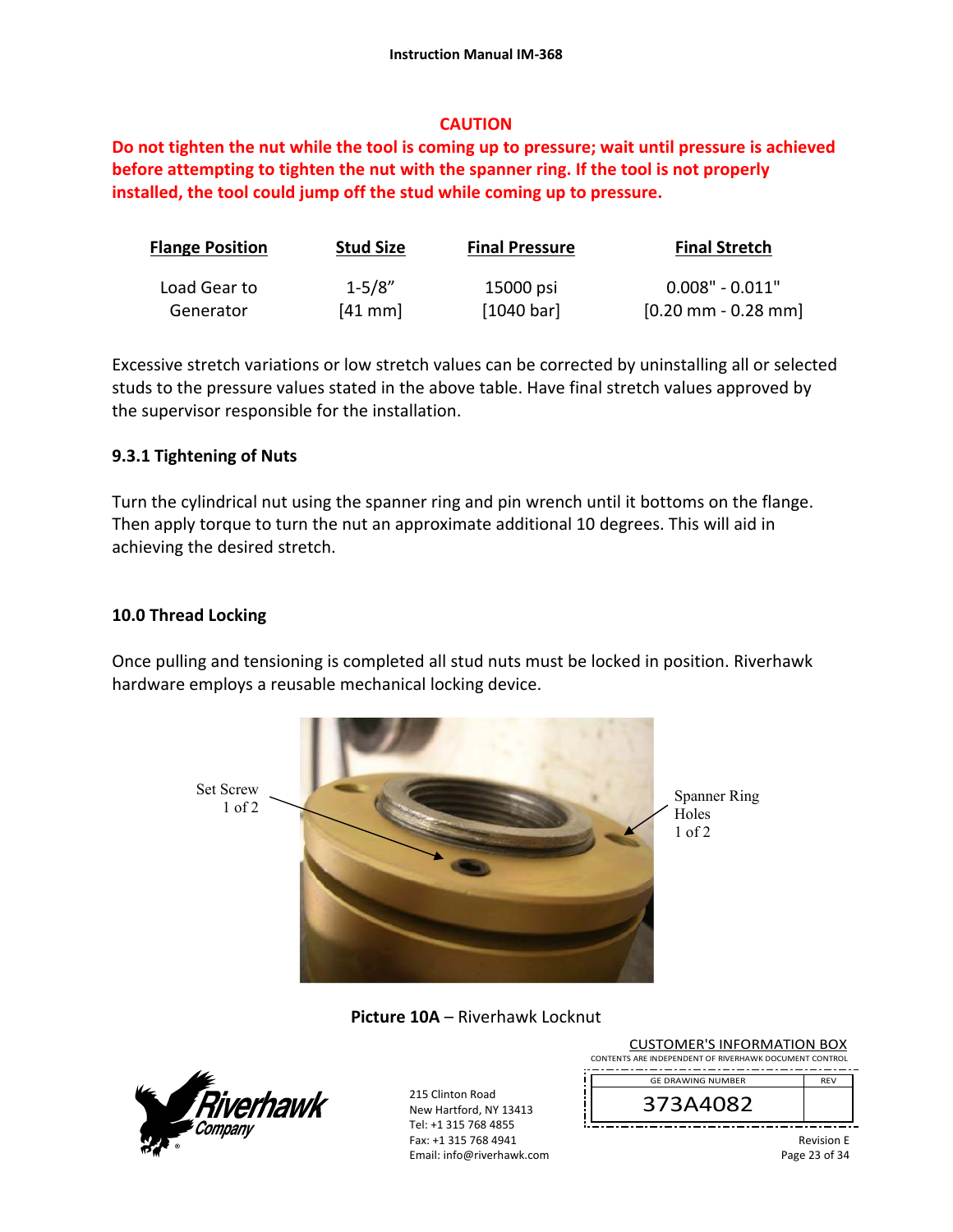# **CAUTION**

**Do not tighten the nut while the tool is coming up to pressure; wait until pressure is achieved before attempting to tighten the nut with the spanner ring. If the tool is not properly installed, the tool could jump off the stud while coming up to pressure.** 

| <b>Flange Position</b> | <b>Stud Size</b> | <b>Final Pressure</b> | <b>Final Stretch</b>                  |
|------------------------|------------------|-----------------------|---------------------------------------|
| Load Gear to           | $1 - 5/8"$       | 15000 psi             | $0.008" - 0.011"$                     |
| Generator              | $[41$ mm $]$     | [1040 bar]            | $[0.20 \text{ mm} - 0.28 \text{ mm}]$ |

Excessive stretch variations or low stretch values can be corrected by uninstalling all or selected studs to the pressure values stated in the above table. Have final stretch values approved by the supervisor responsible for the installation.

# **9.3.1 Tightening of Nuts**

Turn the cylindrical nut using the spanner ring and pin wrench until it bottoms on the flange. Then apply torque to turn the nut an approximate additional 10 degrees. This will aid in achieving the desired stretch.

# **10.0 Thread Locking**

Once pulling and tensioning is completed all stud nuts must be locked in position. Riverhawk hardware employs a reusable mechanical locking device.



**Picture 10A** – Riverhawk Locknut



215 Clinton Road New Hartford, NY 13413 Tel: +1 315 768 4855 Fax: +1 315 768 4941 Email: info@riverhawk.com

ï Ţ

| CONTENTS ARE INDEPENDENT OF RIVERHAWK DOCUMENT CONTROL |                   |
|--------------------------------------------------------|-------------------|
| <b>GE DRAWING NUMBER</b>                               | <b>RFV</b>        |
| 373A4082                                               |                   |
|                                                        | <b>Dovicion</b> E |

CUSTOMER'S INFORMATION BOX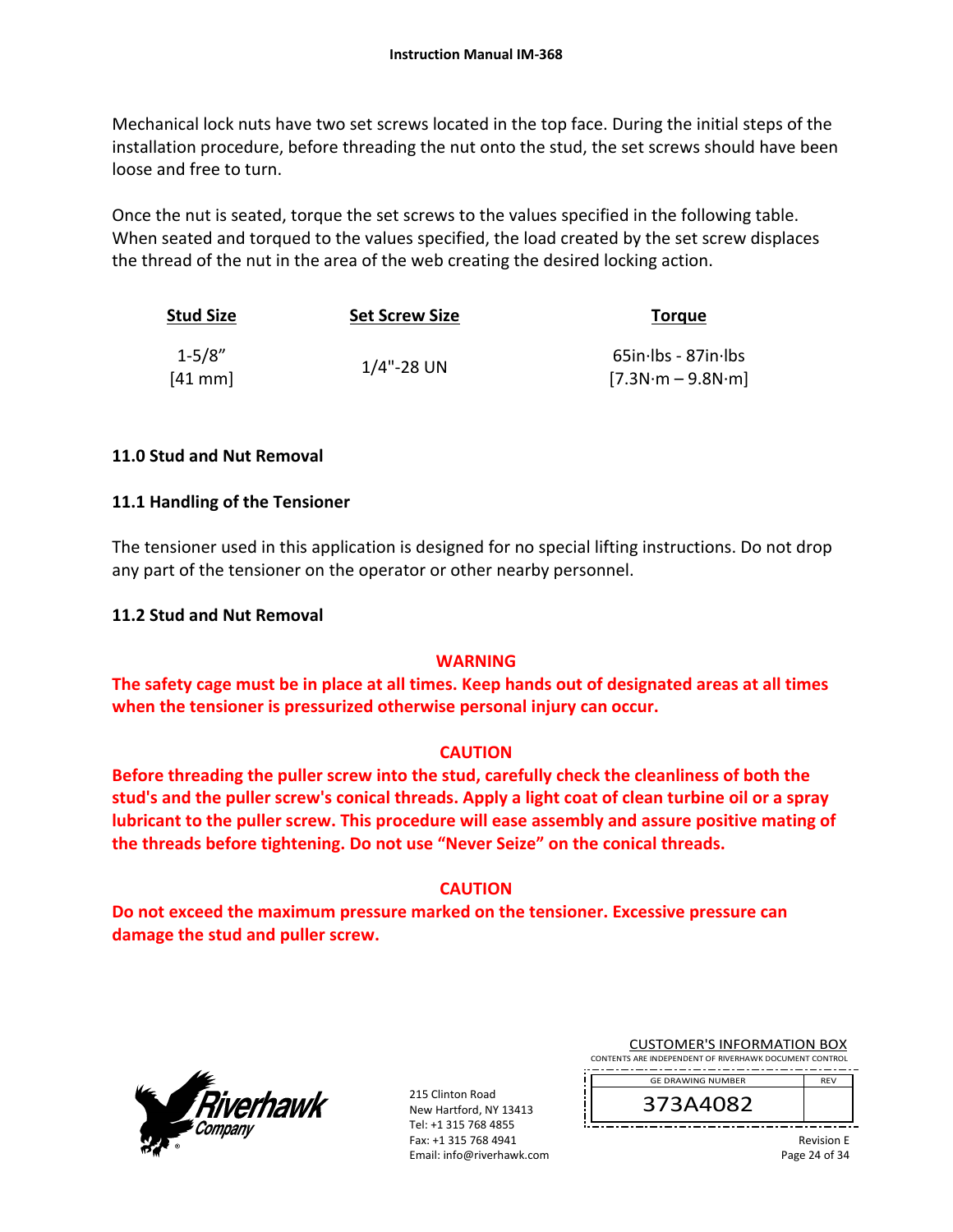Mechanical lock nuts have two set screws located in the top face. During the initial steps of the installation procedure, before threading the nut onto the stud, the set screws should have been loose and free to turn.

Once the nut is seated, torque the set screws to the values specified in the following table. When seated and torqued to the values specified, the load created by the set screw displaces the thread of the nut in the area of the web creating the desired locking action.

| <b>Stud Size</b>       | <b>Set Screw Size</b> | <b>Torque</b>                              |
|------------------------|-----------------------|--------------------------------------------|
| $1 - 5/8"$<br>$[41$ mm | $1/4$ "-28 UN         | 65in-lbs - 87in-lbs<br>$[7.3N·m - 9.8N·m]$ |

# **11.0 Stud and Nut Removal**

# **11.1 Handling of the Tensioner**

The tensioner used in this application is designed for no special lifting instructions. Do not drop any part of the tensioner on the operator or other nearby personnel.

#### **11.2 Stud and Nut Removal**

#### **WARNING**

**The safety cage must be in place at all times. Keep hands out of designated areas at all times when the tensioner is pressurized otherwise personal injury can occur.** 

#### **CAUTION**

**Before threading the puller screw into the stud, carefully check the cleanliness of both the stud's and the puller screw's conical threads. Apply a light coat of clean turbine oil or a spray lubricant to the puller screw. This procedure will ease assembly and assure positive mating of the threads before tightening. Do not use "Never Seize" on the conical threads.** 

#### **CAUTION**

**Do not exceed the maximum pressure marked on the tensioner. Excessive pressure can damage the stud and puller screw.** 



215 Clinton Road New Hartford, NY 13413 Tel: +1 315 768 4855 Fax: +1 315 768 4941 Email: info@riverhawk.com

| <b>CUSTOMER'S INFORMATION BOX</b>                      |  |  |
|--------------------------------------------------------|--|--|
| CONTENTS ARE INDEPENDENT OF RIVERHAWK DOCUMENT CONTROL |  |  |

REV GE DRAWING NUMBER



Revision E Page 24 of 34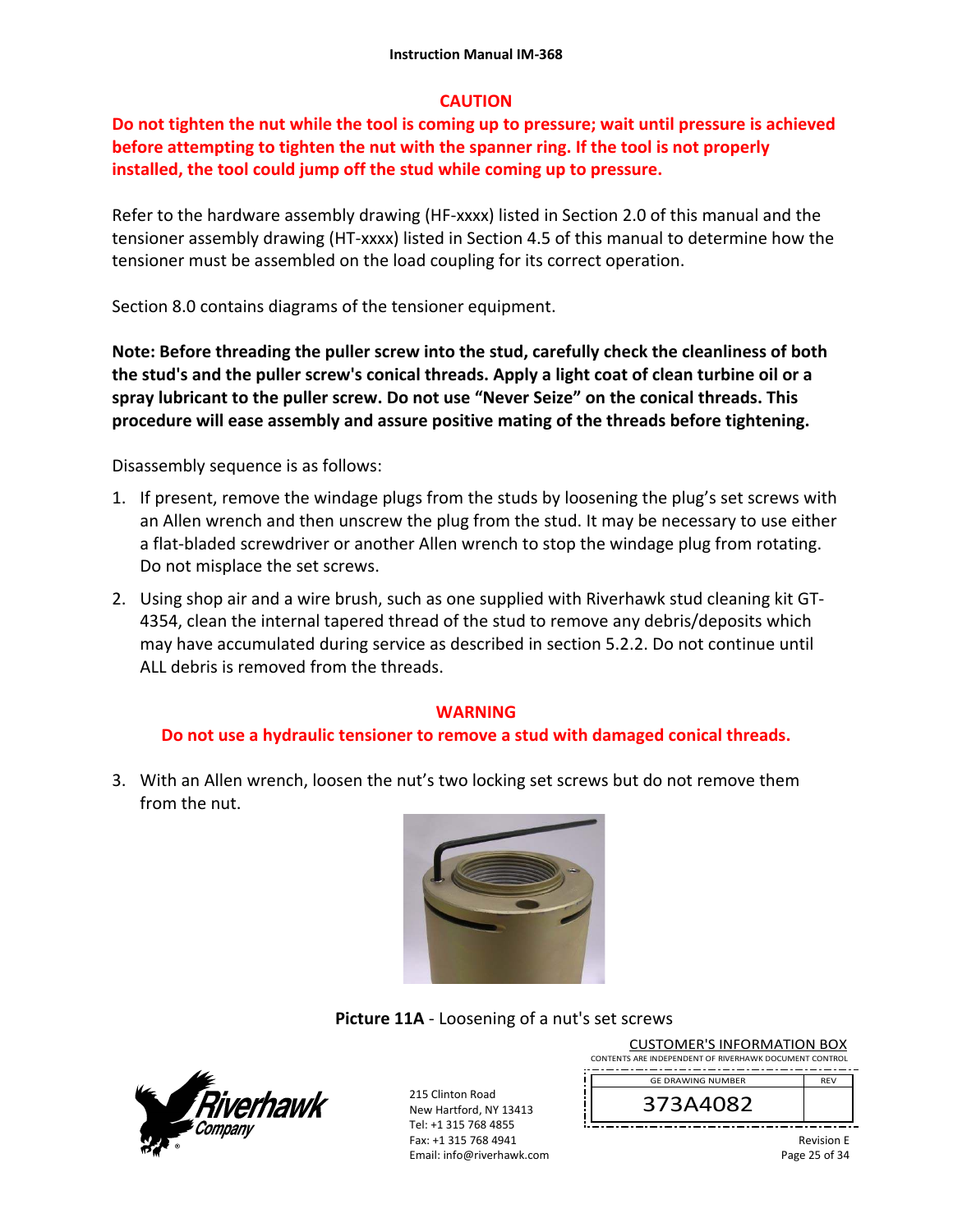# **CAUTION**

# **Do not tighten the nut while the tool is coming up to pressure; wait until pressure is achieved before attempting to tighten the nut with the spanner ring. If the tool is not properly installed, the tool could jump off the stud while coming up to pressure.**

Refer to the hardware assembly drawing (HF-xxxx) listed in Section 2.0 of this manual and the tensioner assembly drawing (HT‐xxxx) listed in Section 4.5 of this manual to determine how the tensioner must be assembled on the load coupling for its correct operation.

Section 8.0 contains diagrams of the tensioner equipment.

**Note: Before threading the puller screw into the stud, carefully check the cleanliness of both the stud's and the puller screw's conical threads. Apply a light coat of clean turbine oil or a spray lubricant to the puller screw. Do not use "Never Seize" on the conical threads. This procedure will ease assembly and assure positive mating of the threads before tightening.** 

Disassembly sequence is as follows:

- 1. If present, remove the windage plugs from the studs by loosening the plug's set screws with an Allen wrench and then unscrew the plug from the stud. It may be necessary to use either a flat‐bladed screwdriver or another Allen wrench to stop the windage plug from rotating. Do not misplace the set screws.
- 2. Using shop air and a wire brush, such as one supplied with Riverhawk stud cleaning kit GT‐ 4354, clean the internal tapered thread of the stud to remove any debris/deposits which may have accumulated during service as described in section 5.2.2. Do not continue until ALL debris is removed from the threads.

#### **WARNING**

#### **Do not use a hydraulic tensioner to remove a stud with damaged conical threads.**

3. With an Allen wrench, loosen the nut's two locking set screws but do not remove them from the nut.



#### **Picture 11A** ‐ Loosening of a nut's set screws



215 Clinton Road New Hartford, NY 13413 Tel: +1 315 768 4855 Fax: +1 315 768 4941 Email: info@riverhawk.com

| CUSTUIVIER STINFORIVIATION BOX                         |            |
|--------------------------------------------------------|------------|
| CONTENTS ARE INDEPENDENT OF RIVERHAWK DOCUMENT CONTROL |            |
| --<br>--<br>--<br>--<br>--<br>--                       | --         |
| <b>GE DRAWING NUMBER</b>                               | <b>RFV</b> |

CUCTOMER'S INFORMATION BOY

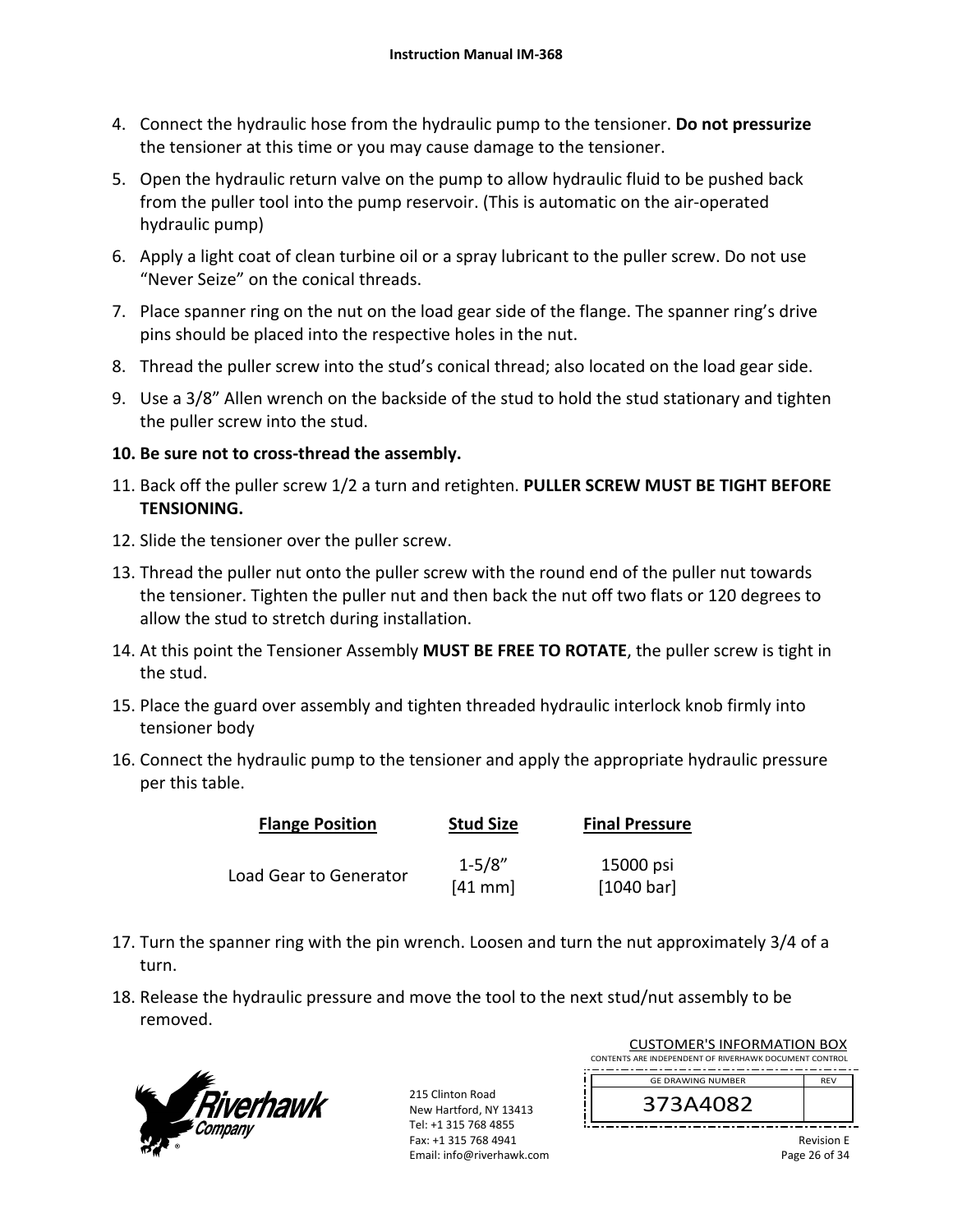- 4. Connect the hydraulic hose from the hydraulic pump to the tensioner. **Do not pressurize** the tensioner at this time or you may cause damage to the tensioner.
- 5. Open the hydraulic return valve on the pump to allow hydraulic fluid to be pushed back from the puller tool into the pump reservoir. (This is automatic on the air‐operated hydraulic pump)
- 6. Apply a light coat of clean turbine oil or a spray lubricant to the puller screw. Do not use "Never Seize" on the conical threads.
- 7. Place spanner ring on the nut on the load gear side of the flange. The spanner ring's drive pins should be placed into the respective holes in the nut.
- 8. Thread the puller screw into the stud's conical thread; also located on the load gear side.
- 9. Use a 3/8" Allen wrench on the backside of the stud to hold the stud stationary and tighten the puller screw into the stud.

# **10. Be sure not to cross‐thread the assembly.**

- 11. Back off the puller screw 1/2 a turn and retighten. **PULLER SCREW MUST BE TIGHT BEFORE TENSIONING.**
- 12. Slide the tensioner over the puller screw.
- 13. Thread the puller nut onto the puller screw with the round end of the puller nut towards the tensioner. Tighten the puller nut and then back the nut off two flats or 120 degrees to allow the stud to stretch during installation.
- 14. At this point the Tensioner Assembly **MUST BE FREE TO ROTATE**, the puller screw is tight in the stud.
- 15. Place the guard over assembly and tighten threaded hydraulic interlock knob firmly into tensioner body
- 16. Connect the hydraulic pump to the tensioner and apply the appropriate hydraulic pressure per this table.

| <b>Flange Position</b> | <b>Stud Size</b> | <b>Final Pressure</b> |
|------------------------|------------------|-----------------------|
|                        | $1 - 5/8"$       | 15000 psi             |
| Load Gear to Generator | $[41$ mm         | [1040 bar]            |

- 17. Turn the spanner ring with the pin wrench. Loosen and turn the nut approximately 3/4 of a turn.
- 18. Release the hydraulic pressure and move the tool to the next stud/nut assembly to be removed.



215 Clinton Road New Hartford, NY 13413 Tel: +1 315 768 4855 Fax: +1 315 768 4941 Email: info@riverhawk.com

| <b>CUSTOMER'S INFORMATION BOX</b>                      |            |
|--------------------------------------------------------|------------|
| CONTENTS ARE INDEPENDENT OF RIVERHAWK DOCUMENT CONTROL |            |
| <b>GE DRAWING NUMBER</b>                               | <b>RFV</b> |
| 373A4082                                               |            |
|                                                        |            |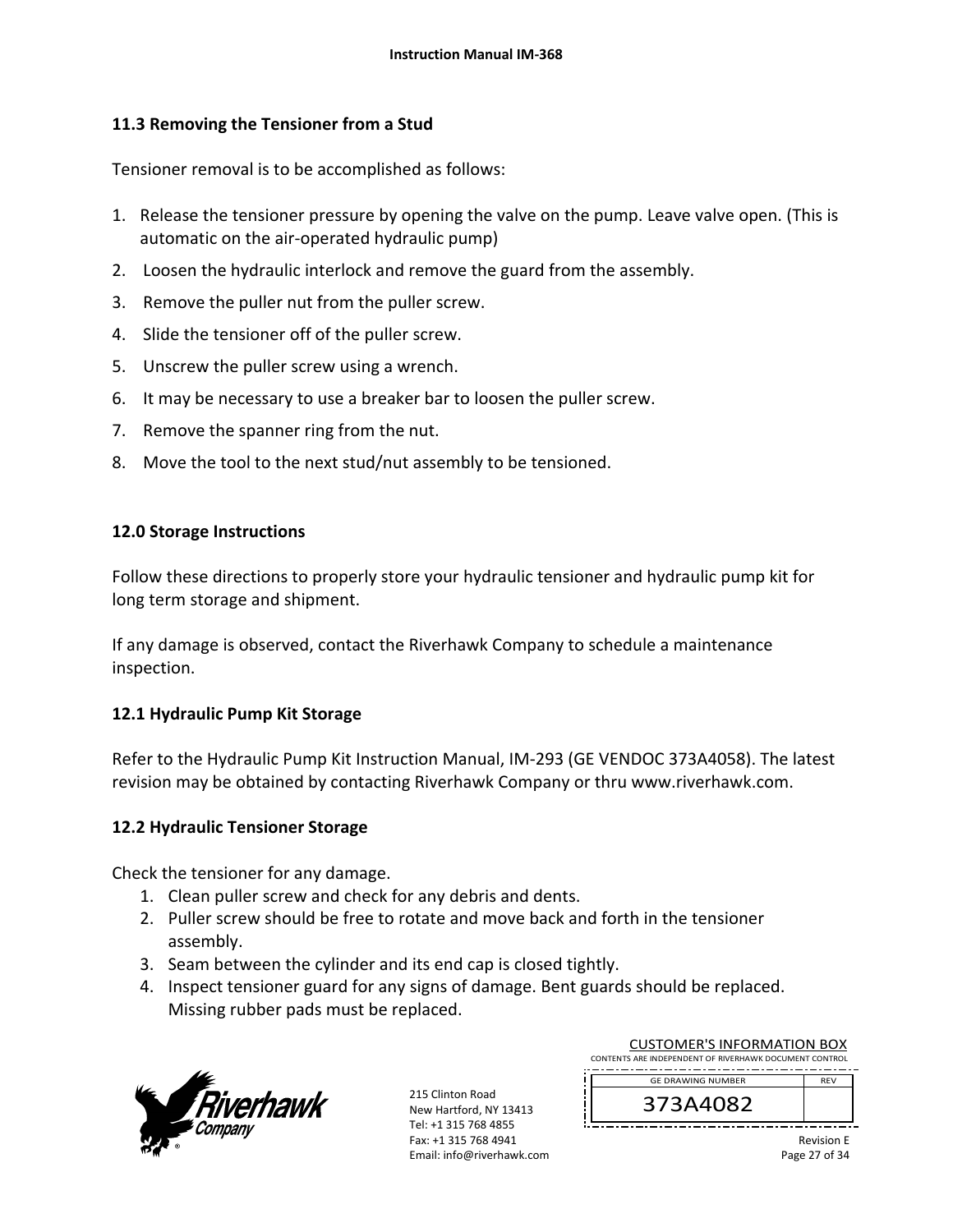# **11.3 Removing the Tensioner from a Stud**

Tensioner removal is to be accomplished as follows:

- 1. Release the tensioner pressure by opening the valve on the pump. Leave valve open. (This is automatic on the air‐operated hydraulic pump)
- 2. Loosen the hydraulic interlock and remove the guard from the assembly.
- 3. Remove the puller nut from the puller screw.
- 4. Slide the tensioner off of the puller screw.
- 5. Unscrew the puller screw using a wrench.
- 6. It may be necessary to use a breaker bar to loosen the puller screw.
- 7. Remove the spanner ring from the nut.
- 8. Move the tool to the next stud/nut assembly to be tensioned.

#### **12.0 Storage Instructions**

Follow these directions to properly store your hydraulic tensioner and hydraulic pump kit for long term storage and shipment.

If any damage is observed, contact the Riverhawk Company to schedule a maintenance inspection.

#### **12.1 Hydraulic Pump Kit Storage**

Refer to the Hydraulic Pump Kit Instruction Manual, IM‐293 (GE VENDOC 373A4058). The latest revision may be obtained by contacting Riverhawk Company or thru www.riverhawk.com.

#### **12.2 Hydraulic Tensioner Storage**

Check the tensioner for any damage.

- 1. Clean puller screw and check for any debris and dents.
- 2. Puller screw should be free to rotate and move back and forth in the tensioner assembly.
- 3. Seam between the cylinder and its end cap is closed tightly.
- 4. Inspect tensioner guard for any signs of damage. Bent guards should be replaced. Missing rubber pads must be replaced.



215 Clinton Road New Hartford, NY 13413 Tel: +1 315 768 4855 Fax: +1 315 768 4941 Email: info@riverhawk.com

| <b>CUSTOMER'S INFORMATION BOX</b>                      |            |
|--------------------------------------------------------|------------|
| CONTENTS ARE INDEPENDENT OF RIVERHAWK DOCUMENT CONTROL |            |
| <b>GE DRAWING NUMBER</b>                               | <b>RFV</b> |
| 373A4082                                               |            |
|                                                        |            |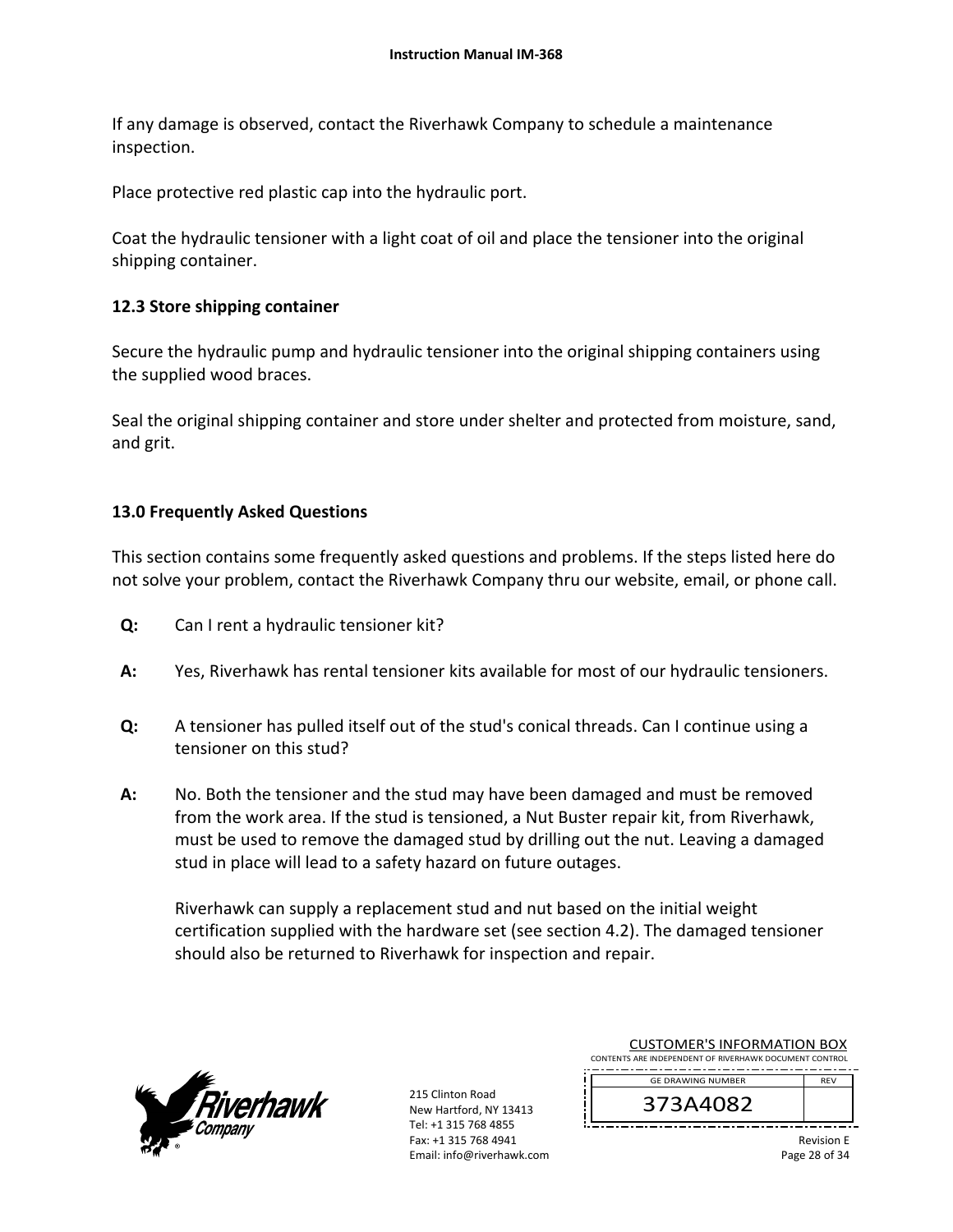If any damage is observed, contact the Riverhawk Company to schedule a maintenance inspection.

Place protective red plastic cap into the hydraulic port.

Coat the hydraulic tensioner with a light coat of oil and place the tensioner into the original shipping container.

# **12.3 Store shipping container**

Secure the hydraulic pump and hydraulic tensioner into the original shipping containers using the supplied wood braces.

Seal the original shipping container and store under shelter and protected from moisture, sand, and grit.

# **13.0 Frequently Asked Questions**

This section contains some frequently asked questions and problems. If the steps listed here do not solve your problem, contact the Riverhawk Company thru our website, email, or phone call.

- **Q:**  Can I rent a hydraulic tensioner kit?
- **A:**  Yes, Riverhawk has rental tensioner kits available for most of our hydraulic tensioners.
- **Q:**  A tensioner has pulled itself out of the stud's conical threads. Can I continue using a tensioner on this stud?
- **A:**  No. Both the tensioner and the stud may have been damaged and must be removed from the work area. If the stud is tensioned, a Nut Buster repair kit, from Riverhawk, must be used to remove the damaged stud by drilling out the nut. Leaving a damaged stud in place will lead to a safety hazard on future outages.

Riverhawk can supply a replacement stud and nut based on the initial weight certification supplied with the hardware set (see section 4.2). The damaged tensioner should also be returned to Riverhawk for inspection and repair.



215 Clinton Road New Hartford, NY 13413 Tel: +1 315 768 4855 Fax: +1 315 768 4941 Email: info@riverhawk.com

| <b>CUSTOMER'S INFORMATION BOX</b><br>CONTENTS ARE INDEPENDENT OF RIVERHAWK DOCUMENT CONTROL |            |
|---------------------------------------------------------------------------------------------|------------|
|                                                                                             |            |
| <b>GE DRAWING NUMBER</b>                                                                    | <b>RFV</b> |
| 373A4082                                                                                    |            |

Revision E Page 28 of 34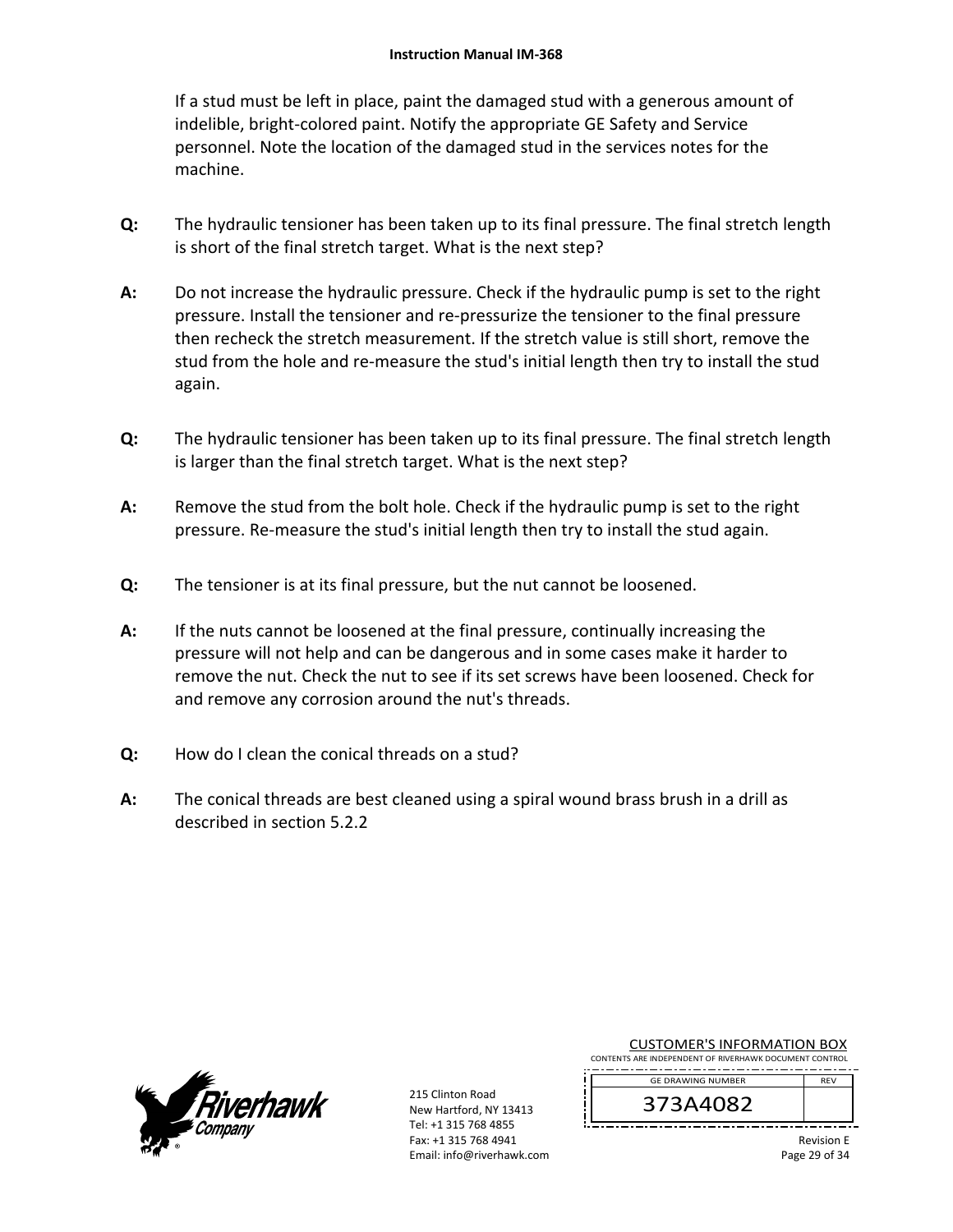If a stud must be left in place, paint the damaged stud with a generous amount of indelible, bright‐colored paint. Notify the appropriate GE Safety and Service personnel. Note the location of the damaged stud in the services notes for the machine.

- **Q:**  The hydraulic tensioner has been taken up to its final pressure. The final stretch length is short of the final stretch target. What is the next step?
- **A:**  Do not increase the hydraulic pressure. Check if the hydraulic pump is set to the right pressure. Install the tensioner and re‐pressurize the tensioner to the final pressure then recheck the stretch measurement. If the stretch value is still short, remove the stud from the hole and re-measure the stud's initial length then try to install the stud again.
- **Q:**  The hydraulic tensioner has been taken up to its final pressure. The final stretch length is larger than the final stretch target. What is the next step?
- **A:**  Remove the stud from the bolt hole. Check if the hydraulic pump is set to the right pressure. Re‐measure the stud's initial length then try to install the stud again.
- **Q:**  The tensioner is at its final pressure, but the nut cannot be loosened.
- **A:**  If the nuts cannot be loosened at the final pressure, continually increasing the pressure will not help and can be dangerous and in some cases make it harder to remove the nut. Check the nut to see if its set screws have been loosened. Check for and remove any corrosion around the nut's threads.
- **Q:**  How do I clean the conical threads on a stud?
- **A:**  The conical threads are best cleaned using a spiral wound brass brush in a drill as described in section 5.2.2



215 Clinton Road New Hartford, NY 13413 Tel: +1 315 768 4855 Fax: +1 315 768 4941 Email: info@riverhawk.com

CUSTOMER'S INFORMATION BOX CONTENTS ARE INDEPENDENT OF RIVERHAWK DOCUMENT CONTROL

. . <u>. . . . . . . . . . . . . . . . .</u> . . . GE DRAWING NUMBER REV

373A4082

Revision E Page 29 of 34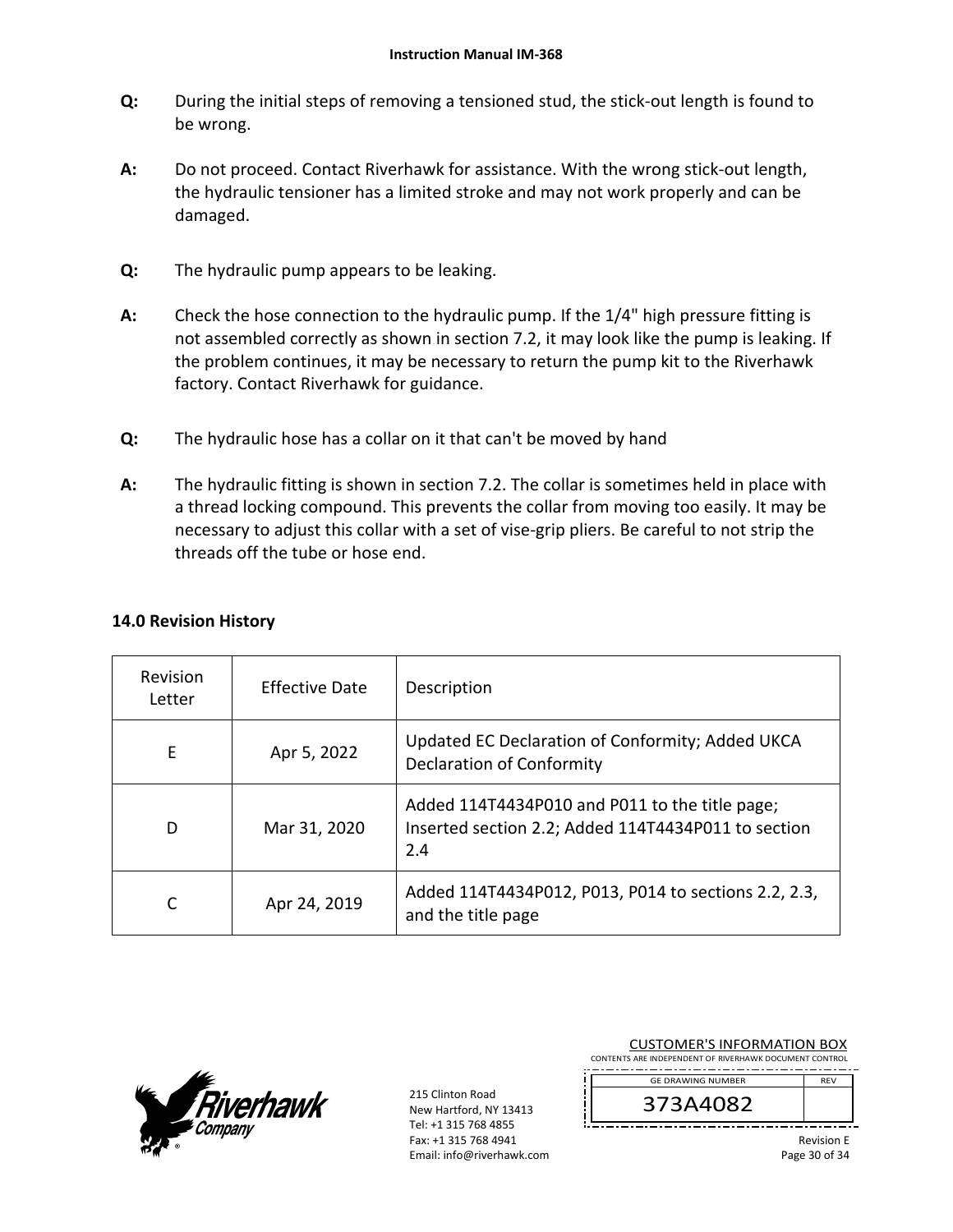- **Q:**  During the initial steps of removing a tensioned stud, the stick‐out length is found to be wrong.
- **A:**  Do not proceed. Contact Riverhawk for assistance. With the wrong stick-out length, the hydraulic tensioner has a limited stroke and may not work properly and can be damaged.
- **Q:**  The hydraulic pump appears to be leaking.
- **A:**  Check the hose connection to the hydraulic pump. If the 1/4" high pressure fitting is not assembled correctly as shown in section 7.2, it may look like the pump is leaking. If the problem continues, it may be necessary to return the pump kit to the Riverhawk factory. Contact Riverhawk for guidance.
- **Q:**  The hydraulic hose has a collar on it that can't be moved by hand
- **A:**  The hydraulic fitting is shown in section 7.2. The collar is sometimes held in place with a thread locking compound. This prevents the collar from moving too easily. It may be necessary to adjust this collar with a set of vise‐grip pliers. Be careful to not strip the threads off the tube or hose end.

| Revision<br>Letter | <b>Effective Date</b> | Description                                                                                                  |
|--------------------|-----------------------|--------------------------------------------------------------------------------------------------------------|
| E                  | Apr 5, 2022           | Updated EC Declaration of Conformity; Added UKCA<br><b>Declaration of Conformity</b>                         |
| D                  | Mar 31, 2020          | Added 114T4434P010 and P011 to the title page;<br>Inserted section 2.2; Added 114T4434P011 to section<br>2.4 |
| C                  | Apr 24, 2019          | Added 114T4434P012, P013, P014 to sections 2.2, 2.3,<br>and the title page                                   |

# **14.0 Revision History**



215 Clinton Road New Hartford, NY 13413 Tel: +1 315 768 4855 Fax: +1 315 768 4941 Email: info@riverhawk.com

| <b>CUSTOMER'S INFORMATION BOX</b><br>CONTENTS ARE INDEPENDENT OF RIVERHAWK DOCUMENT CONTROL |                                       |
|---------------------------------------------------------------------------------------------|---------------------------------------|
| <b>GE DRAWING NUMBER</b>                                                                    | <b>RFV</b>                            |
| 373A4082                                                                                    |                                       |
|                                                                                             | <b>Revision E</b><br>$D$ aga 30 of 31 |

Page 30 of 34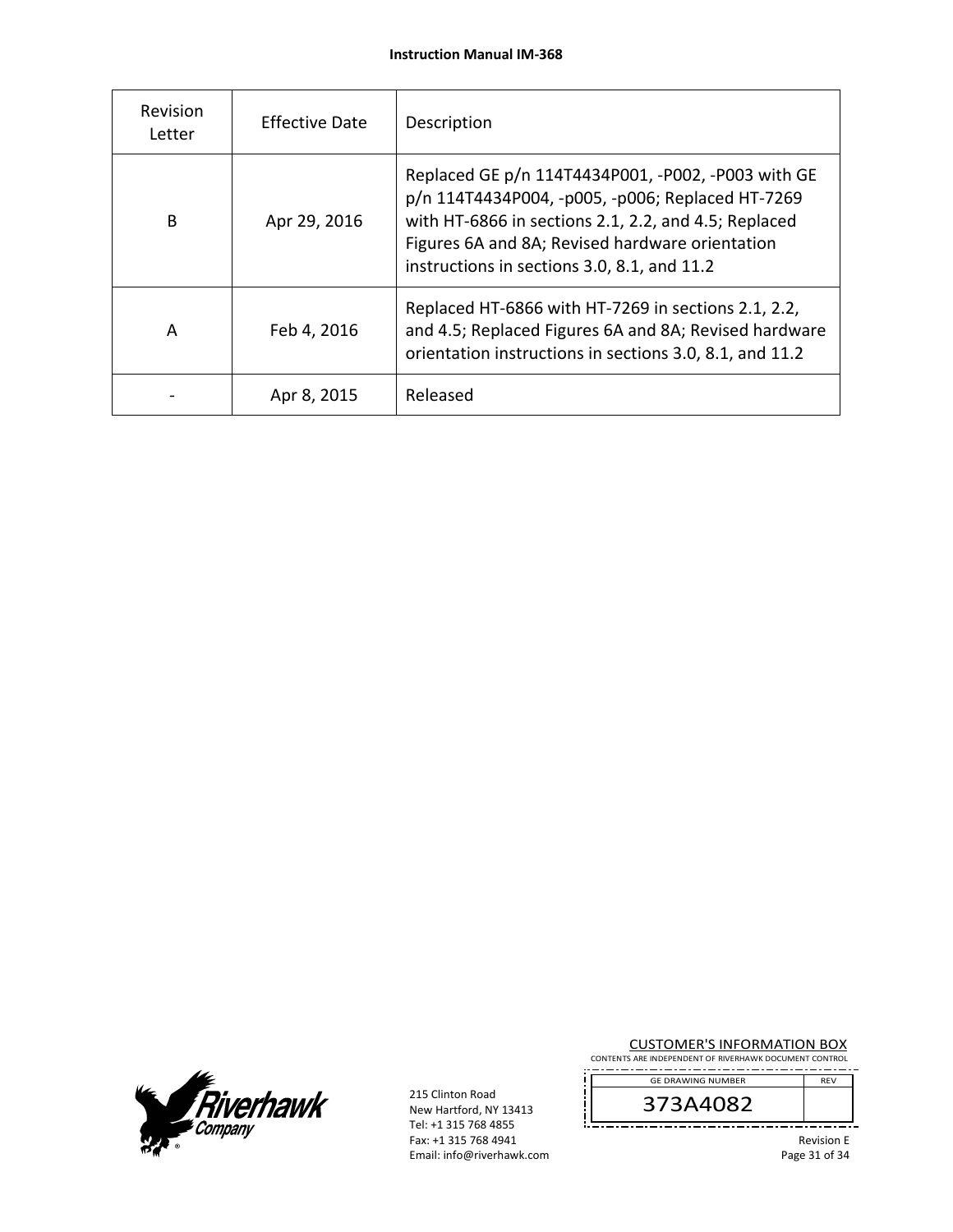| Revision<br>Letter | Effective Date | Description                                                                                                                                                                                                                                                      |
|--------------------|----------------|------------------------------------------------------------------------------------------------------------------------------------------------------------------------------------------------------------------------------------------------------------------|
| B                  | Apr 29, 2016   | Replaced GE p/n 114T4434P001, -P002, -P003 with GE<br>p/n 114T4434P004, -p005, -p006; Replaced HT-7269<br>with HT-6866 in sections 2.1, 2.2, and 4.5; Replaced<br>Figures 6A and 8A; Revised hardware orientation<br>instructions in sections 3.0, 8.1, and 11.2 |
| A                  | Feb 4, 2016    | Replaced HT-6866 with HT-7269 in sections 2.1, 2.2,<br>and 4.5; Replaced Figures 6A and 8A; Revised hardware<br>orientation instructions in sections 3.0, 8.1, and 11.2                                                                                          |
|                    | Apr 8, 2015    | Released                                                                                                                                                                                                                                                         |



215 Clinton Road New Hartford, NY 13413 Tel: +1 315 768 4855 Fax: +1 315 768 4941 Email: info@riverhawk.com CUSTOMER'S INFORMATION BOX

CONTENTS ARE INDEPENDENT OF RIVERHAWK DOCUMENT CONTROL . . . . . . GE DRAWING NUMBER REV

373A4082

Revision E Page 31 of 34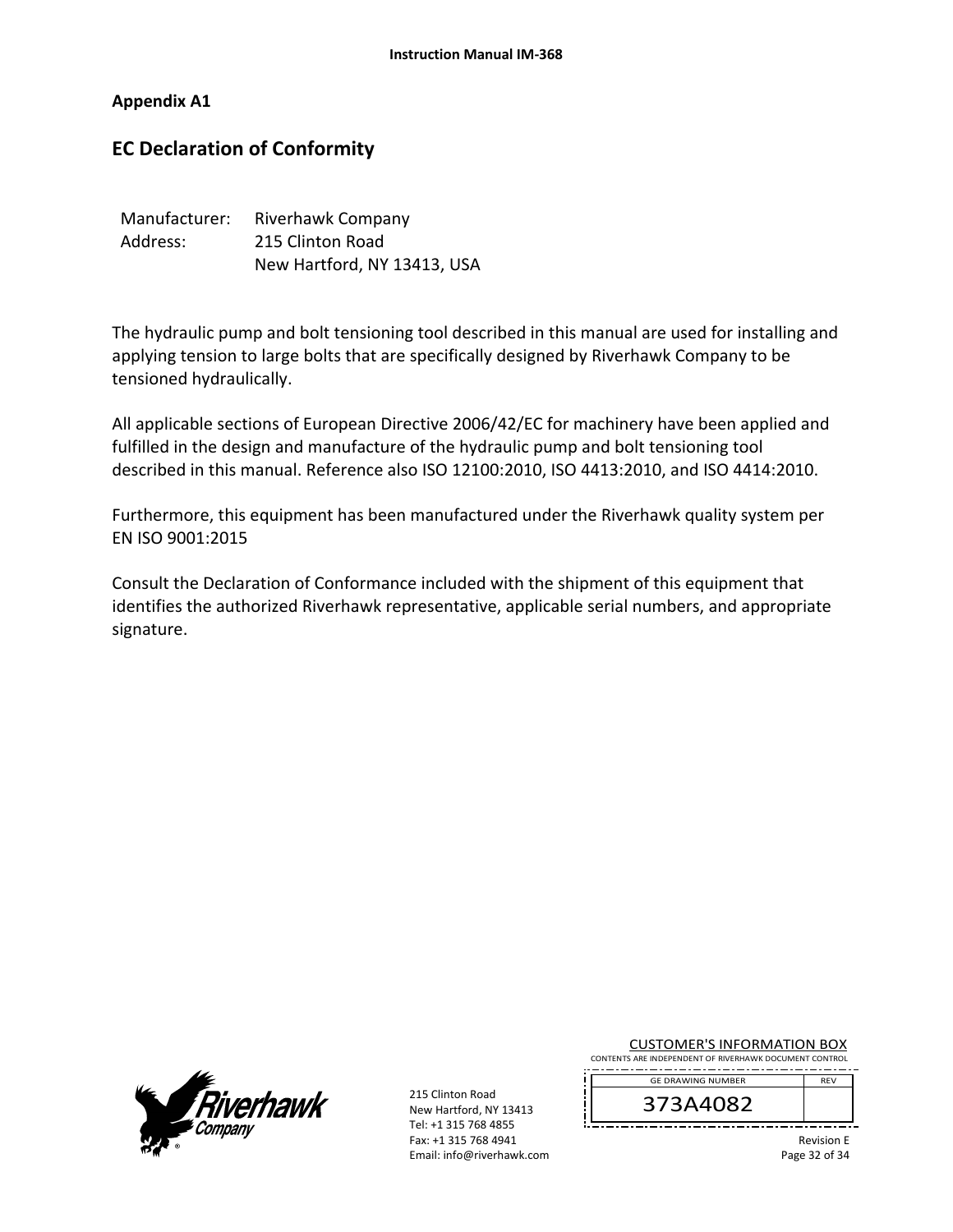#### **Appendix A1**

# **EC Declaration of Conformity**

| Manufacturer: | Riverhawk Company           |
|---------------|-----------------------------|
| Address:      | 215 Clinton Road            |
|               | New Hartford, NY 13413, USA |

The hydraulic pump and bolt tensioning tool described in this manual are used for installing and applying tension to large bolts that are specifically designed by Riverhawk Company to be tensioned hydraulically.

All applicable sections of European Directive 2006/42/EC for machinery have been applied and fulfilled in the design and manufacture of the hydraulic pump and bolt tensioning tool described in this manual. Reference also ISO 12100:2010, ISO 4413:2010, and ISO 4414:2010.

Furthermore, this equipment has been manufactured under the Riverhawk quality system per EN ISO 9001:2015

Consult the Declaration of Conformance included with the shipment of this equipment that identifies the authorized Riverhawk representative, applicable serial numbers, and appropriate signature.



215 Clinton Road New Hartford, NY 13413 Tel: +1 315 768 4855 Fax: +1 315 768 4941 Email: info@riverhawk.com CUSTOMER'S INFORMATION BOX

CONTENTS ARE INDEPENDENT OF RIVERHAWK DOCUMENT CONTROL GE DRAWING NUMBER REV

373A4082

Revision E Page 32 of 34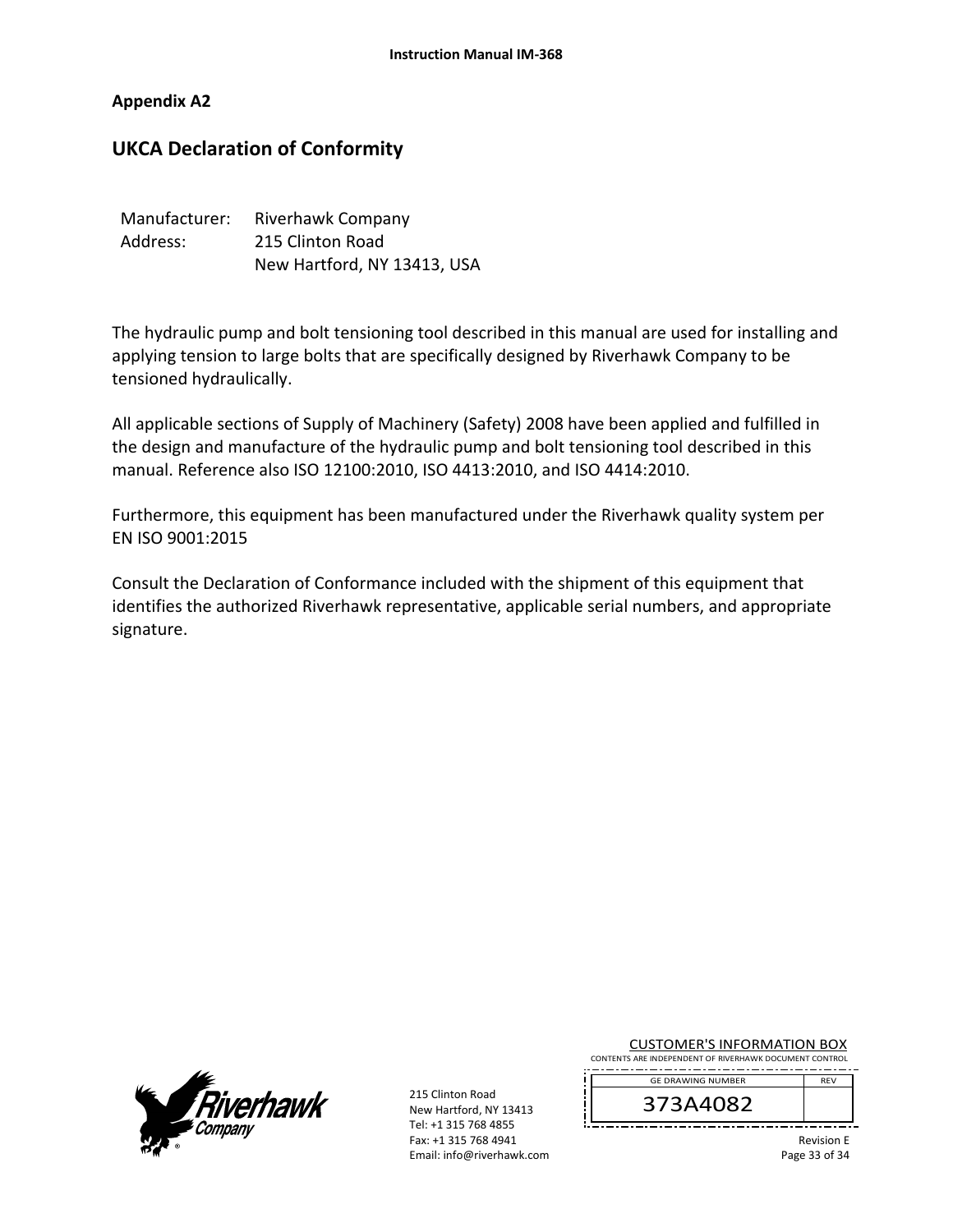#### **Appendix A2**

# **UKCA Declaration of Conformity**

| Manufacturer: | Riverhawk Company           |
|---------------|-----------------------------|
| Address:      | 215 Clinton Road            |
|               | New Hartford, NY 13413, USA |

The hydraulic pump and bolt tensioning tool described in this manual are used for installing and applying tension to large bolts that are specifically designed by Riverhawk Company to be tensioned hydraulically.

All applicable sections of Supply of Machinery (Safety) 2008 have been applied and fulfilled in the design and manufacture of the hydraulic pump and bolt tensioning tool described in this manual. Reference also ISO 12100:2010, ISO 4413:2010, and ISO 4414:2010.

Furthermore, this equipment has been manufactured under the Riverhawk quality system per EN ISO 9001:2015

Consult the Declaration of Conformance included with the shipment of this equipment that identifies the authorized Riverhawk representative, applicable serial numbers, and appropriate signature.



215 Clinton Road New Hartford, NY 13413 Tel: +1 315 768 4855 Fax: +1 315 768 4941 Email: info@riverhawk.com

| <b>CUSTOMER'S INFORMATION BOX</b> |
|-----------------------------------|
|-----------------------------------|

CONTENTS ARE INDEPENDENT OF RIVERHAWK DOCUMENT CONTROL REV GE DRAWING NUMBER

373A4082

Revision E Page 33 of 34